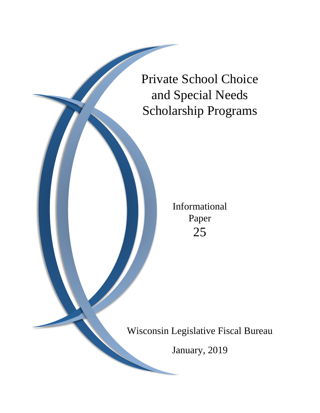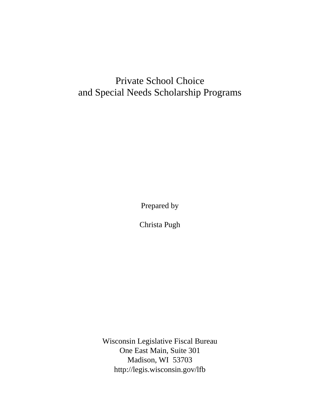# Private School Choice and Special Needs Scholarship Programs

Prepared by

Christa Pugh

Wisconsin Legislative Fiscal Bureau One East Main, Suite 301 Madison, WI 53703 [http://legis.wisconsin.gov/lfb](http://legis.wisconsin.gov/lfb/)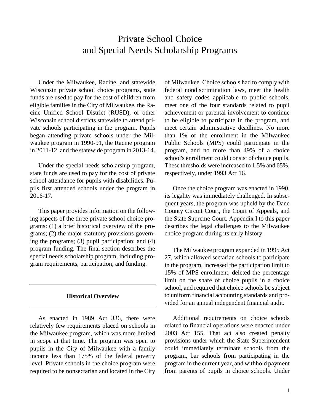# Private School Choice and Special Needs Scholarship Programs

Under the Milwaukee, Racine, and statewide Wisconsin private school choice programs, state funds are used to pay for the cost of children from eligible families in the City of Milwaukee, the Racine Unified School District (RUSD), or other Wisconsin school districts statewide to attend private schools participating in the program. Pupils began attending private schools under the Milwaukee program in 1990-91, the Racine program in 2011-12, and the statewide program in 2013-14.

Under the special needs scholarship program, state funds are used to pay for the cost of private school attendance for pupils with disabilities. Pupils first attended schools under the program in 2016-17.

This paper provides information on the following aspects of the three private school choice programs: (1) a brief historical overview of the programs; (2) the major statutory provisions governing the programs; (3) pupil participation; and (4) program funding. The final section describes the special needs scholarship program, including program requirements, participation, and funding.

#### **Historical Overview**

As enacted in 1989 Act 336, there were relatively few requirements placed on schools in the Milwaukee program, which was more limited in scope at that time. The program was open to pupils in the City of Milwaukee with a family income less than 175% of the federal poverty level. Private schools in the choice program were required to be nonsectarian and located in the City of Milwaukee. Choice schools had to comply with federal nondiscrimination laws, meet the health and safety codes applicable to public schools, meet one of the four standards related to pupil achievement or parental involvement to continue to be eligible to participate in the program, and meet certain administrative deadlines. No more than 1% of the enrollment in the Milwaukee Public Schools (MPS) could participate in the program, and no more than 49% of a choice school's enrollment could consist of choice pupils. These thresholds were increased to 1.5% and 65%, respectively, under 1993 Act 16.

Once the choice program was enacted in 1990, its legality was immediately challenged. In subsequent years, the program was upheld by the Dane County Circuit Court, the Court of Appeals, and the State Supreme Court. Appendix I to this paper describes the legal challenges to the Milwaukee choice program during its early history.

The Milwaukee program expanded in 1995 Act 27, which allowed sectarian schools to participate in the program, increased the participation limit to 15% of MPS enrollment, deleted the percentage limit on the share of choice pupils in a choice school, and required that choice schools be subject to uniform financial accounting standards and provided for an annual independent financial audit.

Additional requirements on choice schools related to financial operations were enacted under 2003 Act 155. That act also created penalty provisions under which the State Superintendent could immediately terminate schools from the program, bar schools from participating in the program in the current year, and withhold payment from parents of pupils in choice schools. Under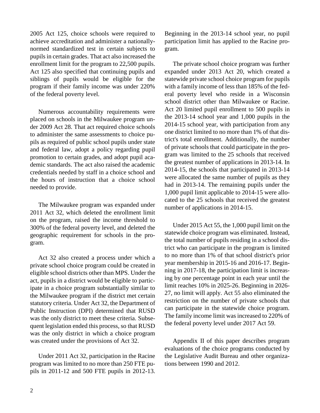2005 Act 125, choice schools were required to achieve accreditation and administer a nationallynormed standardized test in certain subjects to pupils in certain grades. That act also increased the enrollment limit for the program to 22,500 pupils. Act 125 also specified that continuing pupils and siblings of pupils would be eligible for the program if their family income was under 220% of the federal poverty level.

Numerous accountability requirements were placed on schools in the Milwaukee program under 2009 Act 28. That act required choice schools to administer the same assessments to choice pupils as required of public school pupils under state and federal law, adopt a policy regarding pupil promotion to certain grades, and adopt pupil academic standards. The act also raised the academic credentials needed by staff in a choice school and the hours of instruction that a choice school needed to provide.

The Milwaukee program was expanded under 2011 Act 32, which deleted the enrollment limit on the program, raised the income threshold to 300% of the federal poverty level, and deleted the geographic requirement for schools in the program.

Act 32 also created a process under which a private school choice program could be created in eligible school districts other than MPS. Under the act, pupils in a district would be eligible to participate in a choice program substantially similar to the Milwaukee program if the district met certain statutory criteria. Under Act 32, the Department of Public Instruction (DPI) determined that RUSD was the only district to meet these criteria. Subsequent legislation ended this process, so that RUSD was the only district in which a choice program was created under the provisions of Act 32.

Under 2011 Act 32, participation in the Racine program was limited to no more than 250 FTE pupils in 2011-12 and 500 FTE pupils in 2012-13. Beginning in the 2013-14 school year, no pupil participation limit has applied to the Racine program.

The private school choice program was further expanded under 2013 Act 20, which created a statewide private school choice program for pupils with a family income of less than 185% of the federal poverty level who reside in a Wisconsin school district other than Milwaukee or Racine. Act 20 limited pupil enrollment to 500 pupils in the 2013-14 school year and 1,000 pupils in the 2014-15 school year, with participation from any one district limited to no more than 1% of that district's total enrollment. Additionally, the number of private schools that could participate in the program was limited to the 25 schools that received the greatest number of applications in 2013-14. In 2014-15, the schools that participated in 2013-14 were allocated the same number of pupils as they had in 2013-14. The remaining pupils under the 1,000 pupil limit applicable to 2014-15 were allocated to the 25 schools that received the greatest number of applications in 2014-15.

Under 2015 Act 55, the 1,000 pupil limit on the statewide choice program was eliminated. Instead, the total number of pupils residing in a school district who can participate in the program is limited to no more than 1% of that school district's prior year membership in 2015-16 and 2016-17. Beginning in 2017-18, the participation limit is increasing by one percentage point in each year until the limit reaches 10% in 2025-26. Beginning in 2026- 27, no limit will apply. Act 55 also eliminated the restriction on the number of private schools that can participate in the statewide choice program. The family income limit was increased to 220% of the federal poverty level under 2017 Act 59.

Appendix II of this paper describes program evaluations of the choice programs conducted by the Legislative Audit Bureau and other organizations between 1990 and 2012.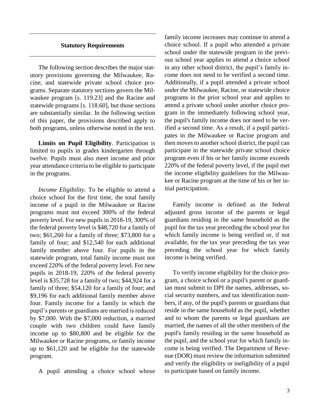#### **Statutory Requirements**

The following section describes the major statutory provisions governing the Milwaukee, Racine, and statewide private school choice programs. Separate statutory sections govern the Milwaukee program [s. 119.23] and the Racine and statewide programs [s. 118.60], but those sections are substantially similar. In the following section of this paper, the provisions described apply to both programs, unless otherwise noted in the text.

**Limits on Pupil Eligibility**. Participation is limited to pupils in grades kindergarten through twelve. Pupils must also meet income and prior year attendance criteria to be eligible to participate in the programs.

*Income Eligibility.* To be eligible to attend a choice school for the first time, the total family income of a pupil in the Milwaukee or Racine programs must not exceed 300% of the federal poverty level. For new pupils in 2018-19, 300% of the federal poverty level is \$48,720 for a family of two; \$61,260 for a family of three; \$73,800 for a family of four; and \$12,540 for each additional family member above four. For pupils in the statewide program, total family income must not exceed 220% of the federal poverty level. For new pupils in 2018-19, 220% of the federal poverty level is \$35,728 for a family of two; \$44,924 for a family of three; \$54,120 for a family of four; and \$9,196 for each additional family member above four. Family income for a family in which the pupil's parents or guardians are married is reduced by \$7,000. With the \$7,000 reduction, a married couple with two children could have family income up to \$80,800 and be eligible for the Milwaukee or Racine programs, or family income up to \$61,120 and be eligible for the statewide program.

A pupil attending a choice school whose

family income increases may continue to attend a choice school. If a pupil who attended a private school under the statewide program in the previous school year applies to attend a choice school in any other school district, the pupil's family income does not need to be verified a second time. Additionally, if a pupil attended a private school under the Milwaukee, Racine, or statewide choice programs in the prior school year and applies to attend a private school under another choice program in the immediately following school year, the pupil's family income does not need to be verified a second time. As a result, if a pupil participates in the Milwaukee or Racine program and then moves to another school district, the pupil can participate in the statewide private school choice program even if his or her family income exceeds 220% of the federal poverty level, if the pupil met the income eligibility guidelines for the Milwaukee or Racine program at the time of his or her initial participation.

Family income is defined as the federal adjusted gross income of the parents or legal guardians residing in the same household as the pupil for the tax year preceding the school year for which family income is being verified or, if not available, for the tax year preceding the tax year preceding the school year for which family income is being verified.

To verify income eligibility for the choice program, a choice school or a pupil's parent or guardian must submit to DPI the names, addresses, social security numbers, and tax identification numbers, if any, of the pupil's parents or guardians that reside in the same household as the pupil, whether and to whom the parents or legal guardians are married, the names of all the other members of the pupil's family residing in the same household as the pupil, and the school year for which family income is being verified. The Department of Revenue (DOR) must review the information submitted and verify the eligibility or ineligibility of a pupil to participate based on family income.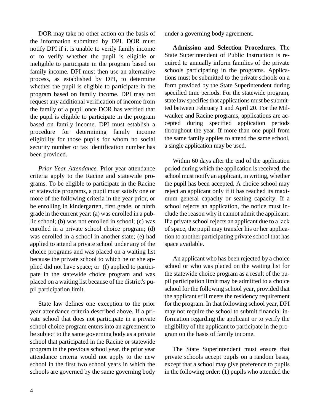DOR may take no other action on the basis of the information submitted by DPI. DOR must notify DPI if it is unable to verify family income or to verify whether the pupil is eligible or ineligible to participate in the program based on family income. DPI must then use an alternative process, as established by DPI, to determine whether the pupil is eligible to participate in the program based on family income. DPI may not request any additional verification of income from the family of a pupil once DOR has verified that the pupil is eligible to participate in the program based on family income. DPI must establish a procedure for determining family income eligibility for those pupils for whom no social security number or tax identification number has been provided.

*Prior Year Attendance.* Prior year attendance criteria apply to the Racine and statewide programs. To be eligible to participate in the Racine or statewide programs, a pupil must satisfy one or more of the following criteria in the year prior, or be enrolling in kindergarten, first grade, or ninth grade in the current year: (a) was enrolled in a public school; (b) was not enrolled in school; (c) was enrolled in a private school choice program; (d) was enrolled in a school in another state; (e) had applied to attend a private school under any of the choice programs and was placed on a waiting list because the private school to which he or she applied did not have space; or (f) applied to participate in the statewide choice program and was placed on a waiting list because of the district's pupil participation limit.

State law defines one exception to the prior year attendance criteria described above. If a private school that does not participate in a private school choice program enters into an agreement to be subject to the same governing body as a private school that participated in the Racine or statewide program in the previous school year, the prior year attendance criteria would not apply to the new school in the first two school years in which the schools are governed by the same governing body under a governing body agreement.

**Admission and Selection Procedures**. The State Superintendent of Public Instruction is required to annually inform families of the private schools participating in the programs. Applications must be submitted to the private schools on a form provided by the State Superintendent during specified time periods. For the statewide program, state law specifies that applications must be submitted between February 1 and April 20. For the Milwaukee and Racine programs, applications are accepted during specified application periods throughout the year. If more than one pupil from the same family applies to attend the same school, a single application may be used.

Within 60 days after the end of the application period during which the application is received, the school must notify an applicant, in writing, whether the pupil has been accepted. A choice school may reject an applicant only if it has reached its maximum general capacity or seating capacity. If a school rejects an application, the notice must include the reason why it cannot admit the applicant. If a private school rejects an applicant due to a lack of space, the pupil may transfer his or her application to another participating private school that has space available.

An applicant who has been rejected by a choice school or who was placed on the waiting list for the statewide choice program as a result of the pupil participation limit may be admitted to a choice school for the following school year, provided that the applicant still meets the residency requirement for the program. In that following school year, DPI may not require the school to submit financial information regarding the applicant or to verify the eligibility of the applicant to participate in the program on the basis of family income.

The State Superintendent must ensure that private schools accept pupils on a random basis, except that a school may give preference to pupils in the following order: (1) pupils who attended the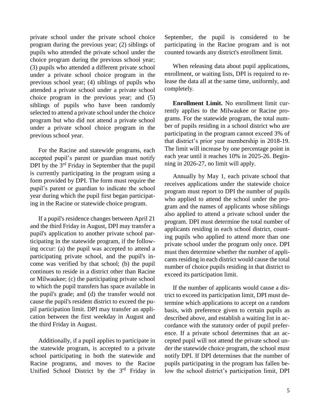private school under the private school choice program during the previous year; (2) siblings of pupils who attended the private school under the choice program during the previous school year; (3) pupils who attended a different private school under a private school choice program in the previous school year; (4) siblings of pupils who attended a private school under a private school choice program in the previous year; and (5) siblings of pupils who have been randomly selected to attend a private school under the choice program but who did not attend a private school under a private school choice program in the previous school year.

For the Racine and statewide programs, each accepted pupil's parent or guardian must notify DPI by the 3<sup>rd</sup> Friday in September that the pupil is currently participating in the program using a form provided by DPI. The form must require the pupil's parent or guardian to indicate the school year during which the pupil first began participating in the Racine or statewide choice program.

If a pupil's residence changes between April 21 and the third Friday in August, DPI may transfer a pupil's application to another private school participating in the statewide program, if the following occur: (a) the pupil was accepted to attend a participating private school, and the pupil's income was verified by that school; (b) the pupil continues to reside in a district other than Racine or Milwaukee; (c) the participating private school to which the pupil transfers has space available in the pupil's grade; and (d) the transfer would not cause the pupil's resident district to exceed the pupil participation limit. DPI may transfer an application between the first weekday in August and the third Friday in August.

Additionally, if a pupil applies to participate in the statewide program, is accepted to a private school participating in both the statewide and Racine programs, and moves to the Racine Unified School District by the 3rd Friday in September, the pupil is considered to be participating in the Racine program and is not counted towards any district's enrollment limit.

When releasing data about pupil applications, enrollment, or waiting lists, DPI is required to release the data all at the same time, uniformly, and completely.

**Enrollment Limit.** No enrollment limit currently applies to the Milwaukee or Racine programs. For the statewide program, the total number of pupils residing in a school district who are participating in the program cannot exceed 3% of that district's prior year membership in 2018-19. The limit will increase by one percentage point in each year until it reaches 10% in 2025-26. Beginning in 2026-27, no limit will apply.

Annually by May 1, each private school that receives applications under the statewide choice program must report to DPI the number of pupils who applied to attend the school under the program and the names of applicants whose siblings also applied to attend a private school under the program. DPI must determine the total number of applicants residing in each school district, counting pupils who applied to attend more than one private school under the program only once. DPI must then determine whether the number of applicants residing in each district would cause the total number of choice pupils residing in that district to exceed its participation limit.

If the number of applicants would cause a district to exceed its participation limit, DPI must determine which applications to accept on a random basis, with preference given to certain pupils as described above, and establish a waiting list in accordance with the statutory order of pupil preference. If a private school determines that an accepted pupil will not attend the private school under the statewide choice program, the school must notify DPI. If DPI determines that the number of pupils participating in the program has fallen below the school district's participation limit, DPI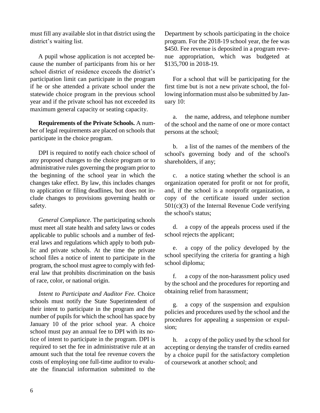must fill any available slot in that district using the district's waiting list.

A pupil whose application is not accepted because the number of participants from his or her school district of residence exceeds the district's participation limit can participate in the program if he or she attended a private school under the statewide choice program in the previous school year and if the private school has not exceeded its maximum general capacity or seating capacity.

**Requirements of the Private Schools.** A number of legal requirements are placed on schools that participate in the choice program.

DPI is required to notify each choice school of any proposed changes to the choice program or to administrative rules governing the program prior to the beginning of the school year in which the changes take effect. By law, this includes changes to application or filing deadlines, but does not include changes to provisions governing health or safety.

*General Compliance*. The participating schools must meet all state health and safety laws or codes applicable to public schools and a number of federal laws and regulations which apply to both public and private schools. At the time the private school files a notice of intent to participate in the program, the school must agree to comply with federal law that prohibits discrimination on the basis of race, color, or national origin.

*Intent to Participate and Auditor Fee.* Choice schools must notify the State Superintendent of their intent to participate in the program and the number of pupils for which the school has space by January 10 of the prior school year. A choice school must pay an annual fee to DPI with its notice of intent to participate in the program. DPI is required to set the fee in administrative rule at an amount such that the total fee revenue covers the costs of employing one full-time auditor to evaluate the financial information submitted to the

Department by schools participating in the choice program. For the 2018-19 school year, the fee was \$450. Fee revenue is deposited in a program revenue appropriation, which was budgeted at \$135,700 in 2018-19.

For a school that will be participating for the first time but is not a new private school, the following information must also be submitted by January 10:

a. the name, address, and telephone number of the school and the name of one or more contact persons at the school;

b. a list of the names of the members of the school's governing body and of the school's shareholders, if any;

c. a notice stating whether the school is an organization operated for profit or not for profit, and, if the school is a nonprofit organization, a copy of the certificate issued under section  $501(c)(3)$  of the Internal Revenue Code verifying the school's status;

d. a copy of the appeals process used if the school rejects the applicant;

e. a copy of the policy developed by the school specifying the criteria for granting a high school diploma;

f. a copy of the non-harassment policy used by the school and the procedures for reporting and obtaining relief from harassment;

g. a copy of the suspension and expulsion policies and procedures used by the school and the procedures for appealing a suspension or expulsion;

h. a copy of the policy used by the school for accepting or denying the transfer of credits earned by a choice pupil for the satisfactory completion of coursework at another school; and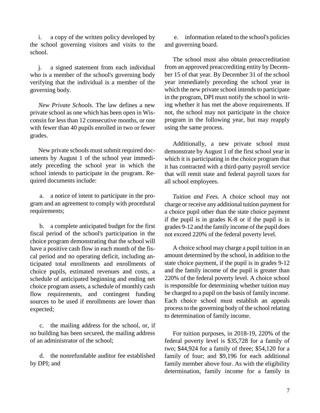i. a copy of the written policy developed by the school governing visitors and visits to the school.

j. a signed statement from each individual who is a member of the school's governing body verifying that the individual is a member of the governing body.

*New Private Schools*. The law defines a new private school as one which has been open in Wisconsin for less than 12 consecutive months, or one with fewer than 40 pupils enrolled in two or fewer grades.

New private schools must submit required documents by August 1 of the school year immediately preceding the school year in which the school intends to participate in the program. Required documents include:

a. a notice of intent to participate in the program and an agreement to comply with procedural requirements;

b. a complete anticipated budget for the first fiscal period of the school's participation in the choice program demonstrating that the school will have a positive cash flow in each month of the fiscal period and no operating deficit, including anticipated total enrollments and enrollments of choice pupils, estimated revenues and costs, a schedule of anticipated beginning and ending net choice program assets, a schedule of monthly cash flow requirements, and contingent funding sources to be used if enrollments are lower than expected;

c. the mailing address for the school, or, if no building has been secured, the mailing address of an administrator of the school;

d. the nonrefundable auditor fee established by DPI; and

e. information related to the school's policies and governing board.

The school must also obtain preaccreditation from an approved preaccrediting entity by December 15 of that year. By December 31 of the school year immediately preceding the school year in which the new private school intends to participate in the program, DPI must notify the school in writing whether it has met the above requirements. If not, the school may not participate in the choice program in the following year, but may reapply using the same process.

Additionally, a new private school must demonstrate by August 1 of the first school year in which it is participating in the choice program that it has contracted with a third-party payroll service that will remit state and federal payroll taxes for all school employees.

*Tuition and Fees*. A choice school may not charge or receive any additional tuition payment for a choice pupil other than the state choice payment if the pupil is in grades K-8 or if the pupil is in grades 9-12 and the family income of the pupil does not exceed 220% of the federal poverty level.

A choice school may charge a pupil tuition in an amount determined by the school, in addition to the state choice payment, if the pupil is in grades 9-12 and the family income of the pupil is greater than 220% of the federal poverty level. A choice school is responsible for determining whether tuition may be charged to a pupil on the basis of family income. Each choice school must establish an appeals process to the governing body of the school relating to determination of family income.

For tuition purposes, in 2018-19, 220% of the federal poverty level is \$35,728 for a family of two; \$44,924 for a family of three; \$54,120 for a family of four; and \$9,196 for each additional family member above four. As with the eligibility determination, family income for a family in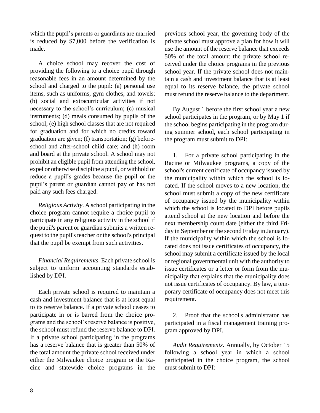which the pupil's parents or guardians are married is reduced by \$7,000 before the verification is made.

A choice school may recover the cost of providing the following to a choice pupil through reasonable fees in an amount determined by the school and charged to the pupil: (a) personal use items, such as uniforms, gym clothes, and towels; (b) social and extracurricular activities if not necessary to the school's curriculum; (c) musical instruments; (d) meals consumed by pupils of the school; (e) high school classes that are not required for graduation and for which no credits toward graduation are given; (f) transportation; (g) beforeschool and after-school child care; and (h) room and board at the private school. A school may not prohibit an eligible pupil from attending the school, expel or otherwise discipline a pupil, or withhold or reduce a pupil's grades because the pupil or the pupil's parent or guardian cannot pay or has not paid any such fees charged.

*Religious Activity*. A school participating in the choice program cannot require a choice pupil to participate in any religious activity in the school if the pupil's parent or guardian submits a written request to the pupil's teacher or the school's principal that the pupil be exempt from such activities.

*Financial Requirements.* Each private school is subject to uniform accounting standards established by DPI.

Each private school is required to maintain a cash and investment balance that is at least equal to its reserve balance. If a private school ceases to participate in or is barred from the choice programs and the school's reserve balance is positive, the school must refund the reserve balance to DPI. If a private school participating in the programs has a reserve balance that is greater than 50% of the total amount the private school received under either the Milwaukee choice program or the Racine and statewide choice programs in the

previous school year, the governing body of the private school must approve a plan for how it will use the amount of the reserve balance that exceeds 50% of the total amount the private school received under the choice programs in the previous school year. If the private school does not maintain a cash and investment balance that is at least equal to its reserve balance, the private school must refund the reserve balance to the department.

By August 1 before the first school year a new school participates in the program, or by May 1 if the school begins participating in the program during summer school, each school participating in the program must submit to DPI:

1. For a private school participating in the Racine or Milwaukee programs, a copy of the school's current certificate of occupancy issued by the municipality within which the school is located. If the school moves to a new location, the school must submit a copy of the new certificate of occupancy issued by the municipality within which the school is located to DPI before pupils attend school at the new location and before the next membership count date (either the third Friday in September or the second Friday in January). If the municipality within which the school is located does not issue certificates of occupancy, the school may submit a certificate issued by the local or regional governmental unit with the authority to issue certificates or a letter or form from the municipality that explains that the municipality does not issue certificates of occupancy. By law, a temporary certificate of occupancy does not meet this requirement.

2. Proof that the school's administrator has participated in a fiscal management training program approved by DPI.

*Audit Requirements.* Annually, by October 15 following a school year in which a school participated in the choice program, the school must submit to DPI: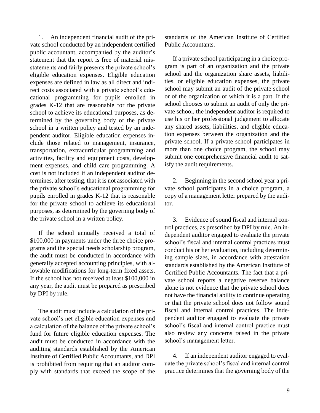1. An independent financial audit of the private school conducted by an independent certified public accountant, accompanied by the auditor's statement that the report is free of material misstatements and fairly presents the private school's eligible education expenses. Eligible education expenses are defined in law as all direct and indirect costs associated with a private school's educational programming for pupils enrolled in grades K-12 that are reasonable for the private school to achieve its educational purposes, as determined by the governing body of the private school in a written policy and tested by an independent auditor. Eligible education expenses include those related to management, insurance, transportation, extracurricular programming and activities, facility and equipment costs, development expenses, and child care programming. A cost is not included if an independent auditor determines, after testing, that it is not associated with the private school's educational programming for pupils enrolled in grades K-12 that is reasonable for the private school to achieve its educational purposes, as determined by the governing body of the private school in a written policy.

If the school annually received a total of \$100,000 in payments under the three choice programs and the special needs scholarship program, the audit must be conducted in accordance with generally accepted accounting principles, with allowable modifications for long-term fixed assets. If the school has not received at least \$100,000 in any year, the audit must be prepared as prescribed by DPI by rule.

The audit must include a calculation of the private school's net eligible education expenses and a calculation of the balance of the private school's fund for future eligible education expenses. The audit must be conducted in accordance with the auditing standards established by the American Institute of Certified Public Accountants, and DPI is prohibited from requiring that an auditor comply with standards that exceed the scope of the

standards of the American Institute of Certified Public Accountants.

If a private school participating in a choice program is part of an organization and the private school and the organization share assets, liabilities, or eligible education expenses, the private school may submit an audit of the private school or of the organization of which it is a part. If the school chooses to submit an audit of only the private school, the independent auditor is required to use his or her professional judgement to allocate any shared assets, liabilities, and eligible education expenses between the organization and the private school. If a private school participates in more than one choice program, the school may submit one comprehensive financial audit to satisfy the audit requirements.

2. Beginning in the second school year a private school participates in a choice program, a copy of a management letter prepared by the auditor.

3. Evidence of sound fiscal and internal control practices, as prescribed by DPI by rule. An independent auditor engaged to evaluate the private school's fiscal and internal control practices must conduct his or her evaluation, including determining sample sizes, in accordance with attestation standards established by the American Institute of Certified Public Accountants. The fact that a private school reports a negative reserve balance alone is not evidence that the private school does not have the financial ability to continue operating or that the private school does not follow sound fiscal and internal control practices. The independent auditor engaged to evaluate the private school's fiscal and internal control practice must also review any concerns raised in the private school's management letter.

4. If an independent auditor engaged to evaluate the private school's fiscal and internal control practice determines that the governing body of the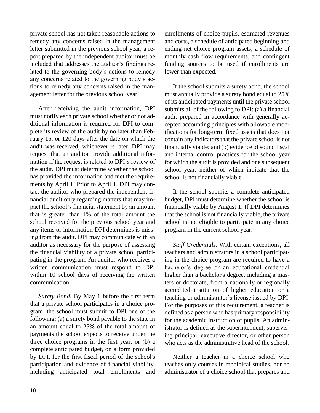private school has not taken reasonable actions to remedy any concerns raised in the management letter submitted in the previous school year, a report prepared by the independent auditor must be included that addresses the auditor's findings related to the governing body's actions to remedy any concerns related to the governing body's actions to remedy any concerns raised in the management letter for the previous school year.

After receiving the audit information, DPI must notify each private school whether or not additional information is required for DPI to complete its review of the audit by no later than February 15, or 120 days after the date on which the audit was received, whichever is later. DPI may request that an auditor provide additional information if the request is related to DPI's review of the audit. DPI must determine whether the school has provided the information and met the requirements by April 1. Prior to April 1, DPI may contact the auditor who prepared the independent financial audit only regarding matters that may impact the school's financial statement by an amount that is greater than 1% of the total amount the school received for the previous school year and any items or information DPI determines is missing from the audit. DPI may communicate with an auditor as necessary for the purpose of assessing the financial viability of a private school participating in the program. An auditor who receives a written communication must respond to DPI within 10 school days of receiving the written communication.

*Surety Bond.* By May 1 before the first term that a private school participates in a choice program, the school must submit to DPI one of the following: (a) a surety bond payable to the state in an amount equal to 25% of the total amount of payments the school expects to receive under the three choice programs in the first year; or (b) a complete anticipated budget, on a form provided by DPI, for the first fiscal period of the school's participation and evidence of financial viability, including anticipated total enrollments and enrollments of choice pupils, estimated revenues and costs, a schedule of anticipated beginning and ending net choice program assets, a schedule of monthly cash flow requirements, and contingent funding sources to be used if enrollments are lower than expected.

If the school submits a surety bond, the school must annually provide a surety bond equal to 25% of its anticipated payments until the private school submits all of the following to DPI: (a) a financial audit prepared in accordance with generally accepted accounting principles with allowable modifications for long-term fixed assets that does not contain any indicators that the private school is not financially viable; and (b) evidence of sound fiscal and internal control practices for the school year for which the audit is provided and one subsequent school year, neither of which indicate that the school is not financially viable.

If the school submits a complete anticipated budget, DPI must determine whether the school is financially viable by August 1. If DPI determines that the school is not financially viable, the private school is not eligible to participate in any choice program in the current school year.

*Staff Credentials*. With certain exceptions, all teachers and administrators in a school participating in the choice program are required to have a bachelor's degree or an educational credential higher than a bachelor's degree, including a masters or doctorate, from a nationally or regionally accredited institution of higher education or a teaching or administrator's license issued by DPI. For the purposes of this requirement, a teacher is defined as a person who has primary responsibility for the academic instruction of pupils. An administrator is defined as the superintendent, supervising principal, executive director, or other person who acts as the administrative head of the school.

Neither a teacher in a choice school who teaches only courses in rabbinical studies, nor an administrator of a choice school that prepares and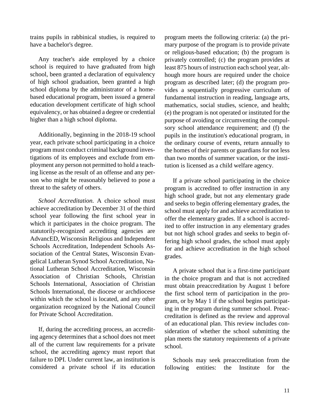trains pupils in rabbinical studies, is required to have a bachelor's degree.

Any teacher's aide employed by a choice school is required to have graduated from high school, been granted a declaration of equivalency of high school graduation, been granted a high school diploma by the administrator of a homebased educational program, been issued a general education development certificate of high school equivalency, or has obtained a degree or credential higher than a high school diploma.

Additionally, beginning in the 2018-19 school year, each private school participating in a choice program must conduct criminal background investigations of its employees and exclude from employment any person not permitted to hold a teaching license as the result of an offense and any person who might be reasonably believed to pose a threat to the safety of others.

*School Accreditation.* A choice school must achieve accreditation by December 31 of the third school year following the first school year in which it participates in the choice program. The statutorily-recognized accrediting agencies are AdvancED, Wisconsin Religious and Independent Schools Accreditation, Independent Schools Association of the Central States, Wisconsin Evangelical Lutheran Synod School Accreditation, National Lutheran School Accreditation, Wisconsin Association of Christian Schools, Christian Schools International, Association of Christian Schools International, the diocese or archdiocese within which the school is located, and any other organization recognized by the National Council for Private School Accreditation.

If, during the accrediting process, an accrediting agency determines that a school does not meet all of the current law requirements for a private school, the accrediting agency must report that failure to DPI. Under current law, an institution is considered a private school if its education

program meets the following criteria: (a) the primary purpose of the program is to provide private or religious-based education; (b) the program is privately controlled; (c) the program provides at least 875 hours of instruction each school year, although more hours are required under the choice program as described later; (d) the program provides a sequentially progressive curriculum of fundamental instruction in reading, language arts, mathematics, social studies, science, and health; (e) the program is not operated or instituted for the purpose of avoiding or circumventing the compulsory school attendance requirement; and (f) the pupils in the institution's educational program, in the ordinary course of events, return annually to the homes of their parents or guardians for not less than two months of summer vacation, or the institution is licensed as a child welfare agency.

If a private school participating in the choice program is accredited to offer instruction in any high school grade, but not any elementary grade and seeks to begin offering elementary grades, the school must apply for and achieve accreditation to offer the elementary grades. If a school is accredited to offer instruction in any elementary grades but not high school grades and seeks to begin offering high school grades, the school must apply for and achieve accreditation in the high school grades.

A private school that is a first-time participant in the choice program and that is not accredited must obtain preaccreditation by August 1 before the first school term of participation in the program, or by May 1 if the school begins participating in the program during summer school. Preaccreditation is defined as the review and approval of an educational plan. This review includes consideration of whether the school submitting the plan meets the statutory requirements of a private school.

Schools may seek preaccreditation from the following entities: the Institute for the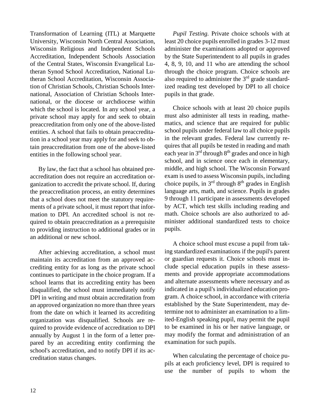Transformation of Learning (ITL) at Marquette University, Wisconsin North Central Association, Wisconsin Religious and Independent Schools Accreditation, Independent Schools Association of the Central States, Wisconsin Evangelical Lutheran Synod School Accreditation, National Lutheran School Accreditation, Wisconsin Association of Christian Schools, Christian Schools International, Association of Christian Schools International, or the diocese or archdiocese within which the school is located. In any school year, a private school may apply for and seek to obtain preaccreditation from only one of the above-listed entities. A school that fails to obtain preaccreditation in a school year may apply for and seek to obtain preaccreditation from one of the above-listed entities in the following school year.

By law, the fact that a school has obtained preaccreditation does not require an accreditation organization to accredit the private school. If, during the preaccreditation process, an entity determines that a school does not meet the statutory requirements of a private school, it must report that information to DPI. An accredited school is not required to obtain preaccreditation as a prerequisite to providing instruction to additional grades or in an additional or new school.

After achieving accreditation, a school must maintain its accreditation from an approved accrediting entity for as long as the private school continues to participate in the choice program. If a school learns that its accrediting entity has been disqualified, the school must immediately notify DPI in writing and must obtain accreditation from an approved organization no more than three years from the date on which it learned its accrediting organization was disqualified. Schools are required to provide evidence of accreditation to DPI annually by August 1 in the form of a letter prepared by an accrediting entity confirming the school's accreditation, and to notify DPI if its accreditation status changes.

*Pupil Testing.* Private choice schools with at least 20 choice pupils enrolled in grades 3-12 must administer the examinations adopted or approved by the State Superintendent to all pupils in grades 4, 8, 9, 10, and 11 who are attending the school through the choice program. Choice schools are also required to administer the  $3<sup>rd</sup>$  grade standardized reading test developed by DPI to all choice pupils in that grade.

Choice schools with at least 20 choice pupils must also administer all tests in reading, mathematics, and science that are required for public school pupils under federal law to all choice pupils in the relevant grades. Federal law currently requires that all pupils be tested in reading and math each year in  $3<sup>rd</sup>$  through  $8<sup>th</sup>$  grades and once in high school, and in science once each in elementary, middle, and high school. The Wisconsin Forward exam is used to assess Wisconsin pupils, including choice pupils, in  $3<sup>rd</sup>$  through  $8<sup>th</sup>$  grades in English language arts, math, and science. Pupils in grades 9 through 11 participate in assessments developed by ACT, which test skills including reading and math. Choice schools are also authorized to administer additional standardized tests to choice pupils.

A choice school must excuse a pupil from taking standardized examinations if the pupil's parent or guardian requests it. Choice schools must include special education pupils in these assessments and provide appropriate accommodations and alternate assessments where necessary and as indicated in a pupil's individualized education program. A choice school, in accordance with criteria established by the State Superintendent, may determine not to administer an examination to a limited-English speaking pupil, may permit the pupil to be examined in his or her native language, or may modify the format and administration of an examination for such pupils.

When calculating the percentage of choice pupils at each proficiency level, DPI is required to use the number of pupils to whom the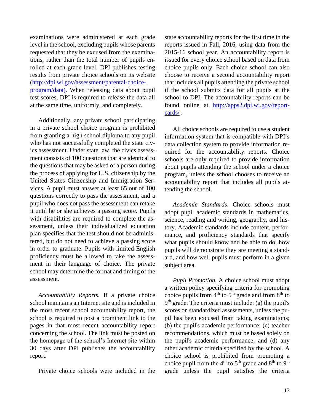examinations were administered at each grade level in the school, excluding pupils whose parents requested that they be excused from the examinations, rather than the total number of pupils enrolled at each grade level. DPI publishes testing results from private choice schools on its website [\(http://dpi.wi.gov/assessment/parental-choice](http://dpi.wi.gov/assessment/parental-choice-program/data)[program/data\)](http://dpi.wi.gov/assessment/parental-choice-program/data). When releasing data about pupil test scores, DPI is required to release the data all at the same time, uniformly, and completely.

Additionally, any private school participating in a private school choice program is prohibited from granting a high school diploma to any pupil who has not successfully completed the state civics assessment. Under state law, the civics assessment consists of 100 questions that are identical to the questions that may be asked of a person during the process of applying for U.S. citizenship by the United States Citizenship and Immigration Services. A pupil must answer at least 65 out of 100 questions correctly to pass the assessment, and a pupil who does not pass the assessment can retake it until he or she achieves a passing score. Pupils with disabilities are required to complete the assessment, unless their individualized education plan specifies that the test should not be administered, but do not need to achieve a passing score in order to graduate. Pupils with limited English proficiency must be allowed to take the assessment in their language of choice. The private school may determine the format and timing of the assessment.

*Accountability Reports.* If a private choice school maintains an Internet site and is included in the most recent school accountability report, the school is required to post a prominent link to the pages in that most recent accountability report concerning the school. The link must be posted on the homepage of the school's Internet site within 30 days after DPI publishes the accountability report.

Private choice schools were included in the

state accountability reports for the first time in the reports issued in Fall, 2016, using data from the 2015-16 school year. An accountability report is issued for every choice school based on data from choice pupils only. Each choice school can also choose to receive a second accountability report that includes all pupils attending the private school if the school submits data for all pupils at the school to DPI. The accountability reports can be found online at [http://apps2.dpi.wi.gov/report](http://apps2.dpi.wi.gov/reportcards/)[cards/](http://apps2.dpi.wi.gov/reportcards/) .

All choice schools are required to use a student information system that is compatible with DPI's data collection system to provide information required for the accountability reports. Choice schools are only required to provide information about pupils attending the school under a choice program, unless the school chooses to receive an accountability report that includes all pupils attending the school.

*Academic Standards*. Choice schools must adopt pupil academic standards in mathematics, science, reading and writing, geography, and history. Academic standards include content, performance, and proficiency standards that specify what pupils should know and be able to do, how pupils will demonstrate they are meeting a standard, and how well pupils must perform in a given subject area.

*Pupil Promotion.* A choice school must adopt a written policy specifying criteria for promoting choice pupils from  $4<sup>th</sup>$  to  $5<sup>th</sup>$  grade and from  $8<sup>th</sup>$  to 9<sup>th</sup> grade. The criteria must include: (a) the pupil's scores on standardized assessments, unless the pupil has been excused from taking examinations; (b) the pupil's academic performance; (c) teacher recommendations, which must be based solely on the pupil's academic performance; and (d) any other academic criteria specified by the school. A choice school is prohibited from promoting a choice pupil from the  $4<sup>th</sup>$  to  $5<sup>th</sup>$  grade and  $8<sup>th</sup>$  to  $9<sup>th</sup>$ grade unless the pupil satisfies the criteria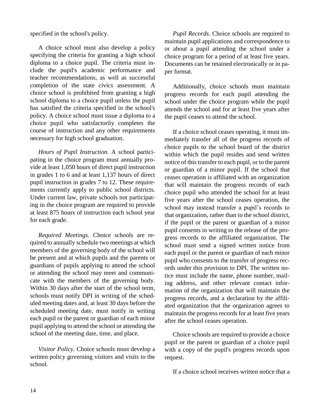specified in the school's policy.

A choice school must also develop a policy specifying the criteria for granting a high school diploma to a choice pupil. The criteria must include the pupil's academic performance and teacher recommendations, as well as successful completion of the state civics assessment. A choice school is prohibited from granting a high school diploma to a choice pupil unless the pupil has satisfied the criteria specified in the school's policy. A choice school must issue a diploma to a choice pupil who satisfactorily completes the course of instruction and any other requirements necessary for high school graduation.

*Hours of Pupil Instruction.* A school participating in the choice program must annually provide at least 1,050 hours of direct pupil instruction in grades 1 to 6 and at least 1,137 hours of direct pupil instruction in grades 7 to 12. These requirements currently apply to public school districts. Under current law, private schools not participating in the choice program are required to provide at least 875 hours of instruction each school year for each grade.

*Required Meetings.* Choice schools are required to annually schedule two meetings at which members of the governing body of the school will be present and at which pupils and the parents or guardians of pupils applying to attend the school or attending the school may meet and communicate with the members of the governing body. Within 30 days after the start of the school term, schools must notify DPI in writing of the scheduled meeting dates and, at least 30 days before the scheduled meeting date, must notify in writing each pupil or the parent or guardian of each minor pupil applying to attend the school or attending the school of the meeting date, time, and place.

*Visitor Policy.* Choice schools must develop a written policy governing visitors and visits to the school.

*Pupil Records*. Choice schools are required to maintain pupil applications and correspondence to or about a pupil attending the school under a choice program for a period of at least five years. Documents can be retained electronically or in paper format.

Additionally, choice schools must maintain progress records for each pupil attending the school under the choice program while the pupil attends the school and for at least five years after the pupil ceases to attend the school.

If a choice school ceases operating, it must immediately transfer all of the progress records of choice pupils to the school board of the district within which the pupil resides and send written notice of this transfer to each pupil, or to the parent or guardian of a minor pupil. If the school that ceases operation is affiliated with an organization that will maintain the progress records of each choice pupil who attended the school for at least five years after the school ceases operation, the school may instead transfer a pupil's records to that organization, rather than to the school district, if the pupil or the parent or guardian of a minor pupil consents in writing to the release of the progress records to the affiliated organization. The school must send a signed written notice from each pupil or the parent or guardian of each minor pupil who consents to the transfer of progress records under this provision to DPI. The written notice must include the name, phone number, mailing address, and other relevant contact information of the organization that will maintain the progress records, and a declaration by the affiliated organization that the organization agrees to maintain the progress records for at least five years after the school ceases operation.

Choice schools are required to provide a choice pupil or the parent or guardian of a choice pupil with a copy of the pupil's progress records upon request.

If a choice school receives written notice that a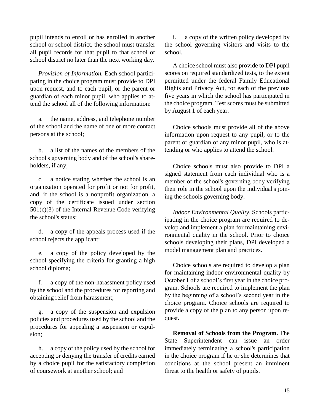pupil intends to enroll or has enrolled in another school or school district, the school must transfer all pupil records for that pupil to that school or school district no later than the next working day.

*Provision of Information.* Each school participating in the choice program must provide to DPI upon request, and to each pupil, or the parent or guardian of each minor pupil, who applies to attend the school all of the following information:

a. the name, address, and telephone number of the school and the name of one or more contact persons at the school;

b. a list of the names of the members of the school's governing body and of the school's shareholders, if any;

c. a notice stating whether the school is an organization operated for profit or not for profit, and, if the school is a nonprofit organization, a copy of the certificate issued under section  $501(c)(3)$  of the Internal Revenue Code verifying the school's status;

d. a copy of the appeals process used if the school rejects the applicant;

e. a copy of the policy developed by the school specifying the criteria for granting a high school diploma;

f. a copy of the non-harassment policy used by the school and the procedures for reporting and obtaining relief from harassment;

g. a copy of the suspension and expulsion policies and procedures used by the school and the procedures for appealing a suspension or expulsion;

h. a copy of the policy used by the school for accepting or denying the transfer of credits earned by a choice pupil for the satisfactory completion of coursework at another school; and

i. a copy of the written policy developed by the school governing visitors and visits to the school.

A choice school must also provide to DPI pupil scores on required standardized tests, to the extent permitted under the federal Family Educational Rights and Privacy Act, for each of the previous five years in which the school has participated in the choice program. Test scores must be submitted by August 1 of each year.

Choice schools must provide all of the above information upon request to any pupil, or to the parent or guardian of any minor pupil, who is attending or who applies to attend the school.

Choice schools must also provide to DPI a signed statement from each individual who is a member of the school's governing body verifying their role in the school upon the individual's joining the schools governing body.

*Indoor Environmental Quality*. Schools participating in the choice program are required to develop and implement a plan for maintaining environmental quality in the school. Prior to choice schools developing their plans, DPI developed a model management plan and practices.

Choice schools are required to develop a plan for maintaining indoor environmental quality by October 1 of a school's first year in the choice program. Schools are required to implement the plan by the beginning of a school's second year in the choice program. Choice schools are required to provide a copy of the plan to any person upon request.

**Removal of Schools from the Program.** The State Superintendent can issue an order immediately terminating a school's participation in the choice program if he or she determines that conditions at the school present an imminent threat to the health or safety of pupils.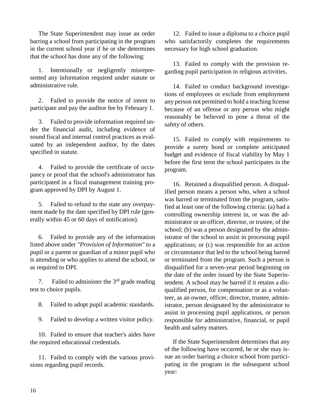The State Superintendent may issue an order barring a school from participating in the program in the current school year if he or she determines that the school has done any of the following:

1. Intentionally or negligently misrepresented any information required under statute or administrative rule.

2. Failed to provide the notice of intent to participate and pay the auditor fee by February 1.

3. Failed to provide information required under the financial audit, including evidence of sound fiscal and internal control practices as evaluated by an independent auditor, by the dates specified in statute.

4. Failed to provide the certificate of occupancy or proof that the school's administrator has participated in a fiscal management training program approved by DPI by August 1.

5. Failed to refund to the state any overpayment made by the date specified by DPI rule (generally within 45 or 60 days of notification).

6. Failed to provide any of the information listed above under *"Provision of Information"* to a pupil or a parent or guardian of a minor pupil who is attending or who applies to attend the school, or as required to DPI.

7. Failed to administer the  $3<sup>rd</sup>$  grade reading test to choice pupils.

8. Failed to adopt pupil academic standards.

9. Failed to develop a written visitor policy.

10. Failed to ensure that teacher's aides have the required educational credentials.

11. Failed to comply with the various provisions regarding pupil records.

12. Failed to issue a diploma to a choice pupil who satisfactorily completes the requirements necessary for high school graduation.

13. Failed to comply with the provision regarding pupil participation in religious activities.

14. Failed to conduct background investigations of employees or exclude from employment any person not permitted to hold a teaching license because of an offense or any person who might reasonably be believed to pose a threat of the safety of others.

15. Failed to comply with requirements to provide a surety bond or complete anticipated budget and evidence of fiscal viability by May 1 before the first term the school participates in the program.

16. Retained a disqualified person. A disqualified person means a person who, when a school was barred or terminated from the program, satisfied at least one of the following criteria: (a) had a controlling ownership interest in, or was the administrator or an officer, director, or trustee, of the school; (b) was a person designated by the administrator of the school to assist in processing pupil applications; or (c) was responsible for an action or circumstance that led to the school being barred or terminated from the program. Such a person is disqualified for a seven-year period beginning on the date of the order issued by the State Superintendent. A school may be barred if it retains a disqualified person, for compensation or as a volunteer, as an owner, officer, director, trustee, administrator, person designated by the administrator to assist in processing pupil applications, or person responsible for administrative, financial, or pupil health and safety matters.

If the State Superintendent determines that any of the following have occurred, he or she may issue an order barring a choice school from participating in the program in the subsequent school year: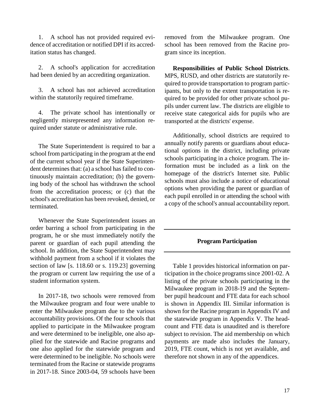1. A school has not provided required evidence of accreditation or notified DPI if its accreditation status has changed.

2. A school's application for accreditation had been denied by an accrediting organization.

3. A school has not achieved accreditation within the statutorily required timeframe.

4. The private school has intentionally or negligently misrepresented any information required under statute or administrative rule.

The State Superintendent is required to bar a school from participating in the program at the end of the current school year if the State Superintendent determines that: (a) a school has failed to continuously maintain accreditation; (b) the governing body of the school has withdrawn the school from the accreditation process; or (c) that the school's accreditation has been revoked, denied, or terminated.

Whenever the State Superintendent issues an order barring a school from participating in the program, he or she must immediately notify the parent or guardian of each pupil attending the school. In addition, the State Superintendent may withhold payment from a school if it violates the section of law [s. 118.60 or s. 119.23] governing the program or current law requiring the use of a student information system.

In 2017-18, two schools were removed from the Milwaukee program and four were unable to enter the Milwaukee program due to the various accountability provisions. Of the four schools that applied to participate in the Milwaukee program and were determined to be ineligible, one also applied for the statewide and Racine programs and one also applied for the statewide program and were determined to be ineligible. No schools were terminated from the Racine or statewide programs in 2017-18. Since 2003-04, 59 schools have been removed from the Milwaukee program. One school has been removed from the Racine program since its inception.

**Responsibilities of Public School Districts**. MPS, RUSD, and other districts are statutorily required to provide transportation to program participants, but only to the extent transportation is required to be provided for other private school pupils under current law. The districts are eligible to receive state categorical aids for pupils who are transported at the districts' expense.

Additionally, school districts are required to annually notify parents or guardians about educational options in the district, including private schools participating in a choice program. The information must be included as a link on the homepage of the district's Internet site. Public schools must also include a notice of educational options when providing the parent or guardian of each pupil enrolled in or attending the school with a copy of the school's annual accountability report.

#### **Program Participation**

Table 1 provides historical information on participation in the choice programs since 2001-02. A listing of the private schools participating in the Milwaukee program in 2018-19 and the September pupil headcount and FTE data for each school is shown in Appendix III. Similar information is shown for the Racine program in Appendix IV and the statewide program in Appendix V. The headcount and FTE data is unaudited and is therefore subject to revision. The aid membership on which payments are made also includes the January, 2019, FTE count, which is not yet available, and therefore not shown in any of the appendices.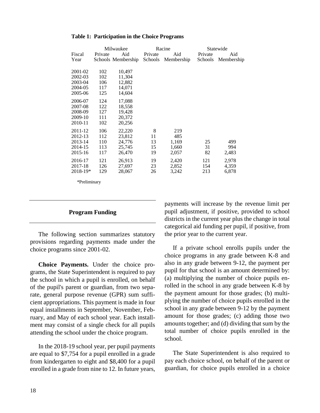|          |         | Milwaukee          |         | Racine     |         | Statewide  |
|----------|---------|--------------------|---------|------------|---------|------------|
| Fiscal   | Private | Aid                | Private | Aid        | Private | Aid        |
| Year     |         | Schools Membership | Schools | Membership | Schools | Membership |
|          |         |                    |         |            |         |            |
| 2001-02  | 102     | 10,497             |         |            |         |            |
| 2002-03  | 102     | 11,304             |         |            |         |            |
| 2003-04  | 106     | 12,882             |         |            |         |            |
| 2004-05  | 117     | 14,071             |         |            |         |            |
| 2005-06  | 125     | 14,604             |         |            |         |            |
| 2006-07  | 124     | 17,088             |         |            |         |            |
| 2007-08  | 122     | 18,558             |         |            |         |            |
| 2008-09  | 127     | 19,428             |         |            |         |            |
| 2009-10  | 111     | 20,372             |         |            |         |            |
| 2010-11  | 102     | 20,256             |         |            |         |            |
| 2011-12  | 106     | 22,220             | 8       | 219        |         |            |
| 2012-13  | 112     | 23,812             | 11      | 485        |         |            |
| 2013-14  | 110     | 24,776             | 13      | 1,169      | 25      | 499        |
| 2014-15  | 113     | 25,745             | 15      | 1,660      | 31      | 994        |
| 2015-16  | 117     | 26,470             | 19      | 2,057      | 82      | 2,483      |
| 2016-17  | 121     | 26,913             | 19      | 2,420      | 121     | 2,978      |
| 2017-18  | 126     | 27,697             | 23      | 2,852      | 154     | 4,359      |
| 2018-19* | 129     | 28,067             | 26      | 3,242      | 213     | 6,878      |
|          |         |                    |         |            |         |            |

#### **Table 1: Participation in the Choice Programs**

\*Preliminary

#### **Program Funding**

The following section summarizes statutory provisions regarding payments made under the choice programs since 2001-02.

**Choice Payments.** Under the choice programs, the State Superintendent is required to pay the school in which a pupil is enrolled, on behalf of the pupil's parent or guardian, from two separate, general purpose revenue (GPR) sum sufficient appropriations. This payment is made in four equal installments in September, November, February, and May of each school year. Each installment may consist of a single check for all pupils attending the school under the choice program.

In the 2018-19 school year, per pupil payments are equal to \$7,754 for a pupil enrolled in a grade from kindergarten to eight and \$8,400 for a pupil enrolled in a grade from nine to 12. In future years, payments will increase by the revenue limit per pupil adjustment, if positive, provided to school districts in the current year plus the change in total categorical aid funding per pupil, if positive, from the prior year to the current year.

If a private school enrolls pupils under the choice programs in any grade between K-8 and also in any grade between 9-12, the payment per pupil for that school is an amount determined by: (a) multiplying the number of choice pupils enrolled in the school in any grade between K-8 by the payment amount for those grades; (b) multiplying the number of choice pupils enrolled in the school in any grade between 9-12 by the payment amount for those grades; (c) adding those two amounts together; and (d) dividing that sum by the total number of choice pupils enrolled in the school.

The State Superintendent is also required to pay each choice school, on behalf of the parent or guardian, for choice pupils enrolled in a choice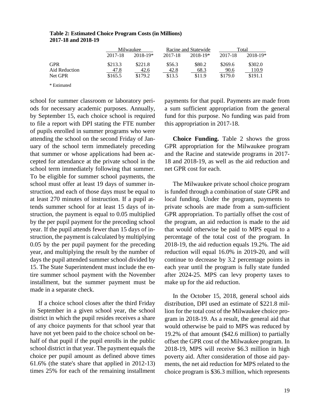|               |         | Milwaukee    |         | Racine and Statewide |         | Total        |  |
|---------------|---------|--------------|---------|----------------------|---------|--------------|--|
|               | 2017-18 | $2018 - 19*$ | 2017-18 | $2018 - 19*$         | 2017-18 | $2018 - 19*$ |  |
| <b>GPR</b>    | \$213.3 | \$221.8      | \$56.3  | \$80.2               | \$269.6 | \$302.0      |  |
| Aid Reduction | 47.8    | 42.6         | 42.8    | 68.3                 | 90.6    | 110.9        |  |
| Net GPR       | \$165.5 | \$179.2      | \$13.5  | \$11.9               | \$179.0 | \$191.1      |  |

#### **Table 2: Estimated Choice Program Costs (in Millions) 2017-18 and 2018-19**

\* Estimated

school for summer classroom or laboratory periods for necessary academic purposes. Annually, by September 15, each choice school is required to file a report with DPI stating the FTE number of pupils enrolled in summer programs who were attending the school on the second Friday of January of the school term immediately preceding that summer or whose applications had been accepted for attendance at the private school in the school term immediately following that summer. To be eligible for summer school payments, the school must offer at least 19 days of summer instruction, and each of those days must be equal to at least 270 minutes of instruction. If a pupil attends summer school for at least 15 days of instruction, the payment is equal to 0.05 multiplied by the per pupil payment for the preceding school year. If the pupil attends fewer than 15 days of instruction, the payment is calculated by multiplying 0.05 by the per pupil payment for the preceding year, and multiplying the result by the number of days the pupil attended summer school divided by 15. The State Superintendent must include the entire summer school payment with the November installment, but the summer payment must be made in a separate check.

If a choice school closes after the third Friday in September in a given school year, the school district in which the pupil resides receives a share of any choice payments for that school year that have not yet been paid to the choice school on behalf of that pupil if the pupil enrolls in the public school district in that year. The payment equals the choice per pupil amount as defined above times 61.6% (the state's share that applied in 2012-13) times 25% for each of the remaining installment payments for that pupil. Payments are made from a sum sufficient appropriation from the general fund for this purpose. No funding was paid from this appropriation in 2017-18.

**Choice Funding.** Table 2 shows the gross GPR appropriation for the Milwaukee program and the Racine and statewide programs in 2017- 18 and 2018-19, as well as the aid reduction and net GPR cost for each.

The Milwaukee private school choice program is funded through a combination of state GPR and local funding. Under the program, payments to private schools are made from a sum-sufficient GPR appropriation. To partially offset the cost of the program, an aid reduction is made to the aid that would otherwise be paid to MPS equal to a percentage of the total cost of the program. In 2018-19, the aid reduction equals 19.2%. The aid reduction will equal 16.0% in 2019-20, and will continue to decrease by 3.2 percentage points in each year until the program is fully state funded after 2024-25. MPS can levy property taxes to make up for the aid reduction.

In the October 15, 2018, general school aids distribution, DPI used an estimate of \$221.8 million for the total cost of the Milwaukee choice program in 2018-19. As a result, the general aid that would otherwise be paid to MPS was reduced by 19.2% of that amount (\$42.6 million) to partially offset the GPR cost of the Milwaukee program. In 2018-19, MPS will receive \$6.3 million in high poverty aid. After consideration of those aid payments, the net aid reduction for MPS related to the choice program is \$36.3 million, which represents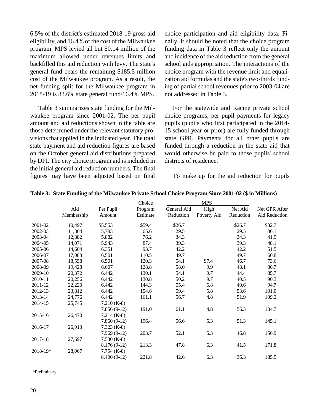6.5% of the district's estimated 2018-19 gross aid eligibility, and 16.4% of the cost of the Milwaukee program. MPS levied all but \$0.14 million of the maximum allowed under revenues limits and backfilled this aid reduction with levy. The state's general fund bears the remaining \$185.5 million cost of the Milwaukee program. As a result, the net funding split for the Milwaukee program in 2018-19 is 83.6% state general fund/16.4% MPS.

Table 3 summarizes state funding for the Milwaukee program since 2001-02. The per pupil amount and aid reductions shown in the table are those determined under the relevant statutory provisions that applied in the indicated year. The total state payment and aid reduction figures are based on the October general aid distributions prepared by DPI. The city choice program aid is included in the initial general aid reduction numbers. The final figures may have been adjusted based on final

choice participation and aid eligibility data. Finally, it should be noted that the choice program funding data in Table 3 reflect only the amount and incidence of the aid reduction from the general school aids appropriation. The interactions of the choice program with the revenue limit and equalization aid formulas and the state's two-thirds funding of partial school revenues prior to 2003-04 are not addressed in Table 3.

For the statewide and Racine private school choice programs, per pupil payments for legacy pupils (pupils who first participated in the 2014- 15 school year or prior) are fully funded through state GPR. Payments for all other pupils are funded through a reduction in the state aid that would otherwise be paid to those pupils' school districts of residence.

To make up for the aid reduction for pupils

|          |            |               | Choice   |             | <b>MPS</b>  |           |               |
|----------|------------|---------------|----------|-------------|-------------|-----------|---------------|
|          | Aid        | Per Pupil     | Program  | General Aid | High        | Net Aid   | Net GPR After |
|          | Membership | Amount        | Estimate | Reduction   | Poverty Aid | Reduction | Aid Reduction |
| 2001-02  | 10,497     | \$5,553       | \$59.4   | \$26.7      |             | \$26.7    | \$32.7        |
| 2002-03  | 11,304     | 5,783         | 65.6     | 29.5        |             | 29.5      | 36.1          |
| 2003-04  | 12,882     | 5,882         | 76.2     | 34.3        |             | 34.3      | 41.9          |
| 2004-05  | 14,071     | 5,943         | 87.4     | 39.3        |             | 39.3      | 48.1          |
| 2005-06  | 14,604     | 6,351         | 93.7     | 42.2        |             | 42.2      | 51.5          |
| 2006-07  | 17,088     | 6,501         | 110.5    | 49.7        |             | 49.7      | 60.8          |
| 2007-08  | 18,558     | 6,501         | 120.3    | 54.1        | \$7.4       | 46.7      | 73.6          |
| 2008-09  | 19,428     | 6,607         | 128.8    | 58.0        | 9.9         | 48.1      | 80.7          |
| 2009-10  | 20,372     | 6,442         | 130.1    | 54.1        | 9.7         | 44.4      | 85.7          |
| 2010-11  | 20,256     | 6,442         | 130.8    | 50.2        | 9.7         | 40.5      | 90.3          |
| 2011-12  | 22,220     | 6,442         | 144.3    | 55.4        | 5.8         | 49.6      | 94.7          |
| 2012-13  | 23,812     | 6,442         | 154.6    | 59.4        | 5.8         | 53.6      | 101.0         |
| 2013-14  | 24,776     | 6,442         | 161.1    | 56.7        | 4.8         | 51.9      | 109.2         |
| 2014-15  | 25,745     | $7,210$ (K-8) |          |             |             |           |               |
|          |            | 7,856 (9-12)  | 191.0    | 61.1        | 4.8         | 56.3      | 134.7         |
| 2015-16  | 26,470     | $7,214$ (K-8) |          |             |             |           |               |
|          |            | 7,860 (9-12)  | 196.4    | 56.6        | 5.3         | 51.3      | 145.1         |
| 2016-17  | 26,913     | $7,323$ (K-8) |          |             |             |           |               |
|          |            | 7,969 (9-12)  | 203.7    | 52.1        | 5.3         | 46.8      | 156.9         |
| 2017-18  | 27,697     | $7,530$ (K-8) |          |             |             |           |               |
|          |            | 8,176 (9-12)  | 213.3    | 47.8        | 6.3         | 41.5      | 171.8         |
| 2018-19* | 28,067     | $7,754$ (K-8) |          |             |             |           |               |
|          |            | 8,400 (9-12)  | 221.8    | 42.6        | 6.3         | 36.3      | 185.5         |
|          |            |               |          |             |             |           |               |

#### **Table 3: State Funding of the Milwaukee Private School Choice Program Since 2001-02 (\$ in Millions)**

\*Preliminary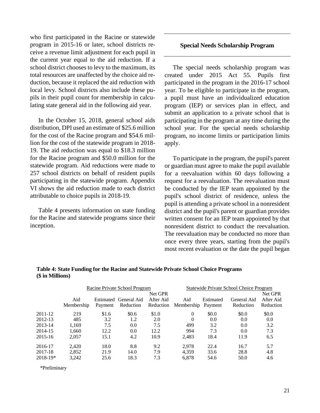who first participated in the Racine or statewide program in 2015-16 or later, school districts receive a revenue limit adjustment for each pupil in the current year equal to the aid reduction. If a school district chooses to levy to the maximum, its total resources are unaffected by the choice aid reduction, because it replaced the aid reduction with local levy. School districts also include these pupils in their pupil count for membership in calculating state general aid in the following aid year.

In the October 15, 2018, general school aids distribution, DPI used an estimate of \$25.6 million for the cost of the Racine program and \$54.6 million for the cost of the statewide program in 2018- 19. The aid reduction was equal to \$18.3 million for the Racine program and \$50.0 million for the statewide program. Aid reductions were made to 257 school districts on behalf of resident pupils participating in the statewide program. Appendix VI shows the aid reduction made to each district attributable to choice pupils in 2018-19.

Table 4 presents information on state funding for the Racine and statewide programs since their inception.

#### **Special Needs Scholarship Program**

The special needs scholarship program was created under 2015 Act 55. Pupils first participated in the program in the 2016-17 school year. To be eligible to participate in the program, a pupil must have an individualized education program (IEP) or services plan in effect, and submit an application to a private school that is participating in the program at any time during the school year. For the special needs scholarship program, no income limits or participation limits apply.

To participate in the program, the pupil's parent or guardian must agree to make the pupil available for a reevaluation within 60 days following a request for a reevaluation. The reevaluation must be conducted by the IEP team appointed by the pupil's school district of residence, unless the pupil is attending a private school in a nonresident district and the pupil's parent or guardian provides written consent for an IEP team appointed by that nonresident district to conduct the reevaluation. The reevaluation may be conducted no more than once every three years, starting from the pupil's most recent evaluation or the date the pupil began

#### **Table 4: State Funding for the Racine and Statewide Private School Choice Programs (\$ in Millions)**

|          | Racine Private School Program |         |                       |                      | Statewide Private School Choice Program |           |             |                      |
|----------|-------------------------------|---------|-----------------------|----------------------|-----------------------------------------|-----------|-------------|----------------------|
|          | Aid                           |         | Estimated General Aid | Net GPR<br>After Aid | Aid                                     | Estimated | General Aid | Net GPR<br>After Aid |
|          | Membership                    | Payment | Reduction             | Reduction            | Membership                              | Payment   | Reduction   | Reduction            |
| 2011-12  | 219                           | \$1.6   | \$0.6                 | \$1.0                | 0                                       | \$0.0     | \$0.0       | \$0.0                |
| 2012-13  | 485                           | 3.2     | 1.2                   | 2.0                  | 0                                       | 0.0       | 0.0         | 0.0                  |
| 2013-14  | 1.169                         | 7.5     | 0.0                   | 7.5                  | 499                                     | 3.2       | 0.0         | 3.2                  |
| 2014-15  | 1.660                         | 12.2    | 0.0                   | 12.2                 | 994                                     | 7.3       | 0.0         | 7.3                  |
| 2015-16  | 2,057                         | 15.1    | 4.2                   | 10.9                 | 2,483                                   | 18.4      | 11.9        | 6.5                  |
| 2016-17  | 2.420                         | 18.0    | 8.8                   | 9.2                  | 2.978                                   | 22.4      | 16.7        | 5.7                  |
| 2017-18  | 2.852                         | 21.9    | 14.0                  | 7.9                  | 4.359                                   | 33.6      | 28.8        | 4.8                  |
| 2018-19* | 3,242                         | 25.6    | 18.3                  | 7.3                  | 6,878                                   | 54.6      | 50.0        | 4.6                  |

\*Preliminary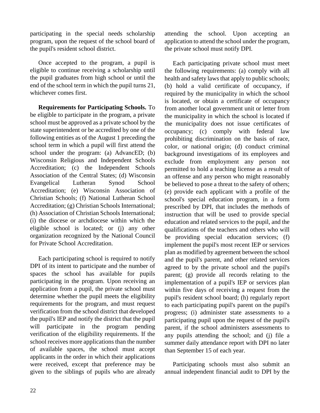participating in the special needs scholarship program, upon the request of the school board of the pupil's resident school district.

Once accepted to the program, a pupil is eligible to continue receiving a scholarship until the pupil graduates from high school or until the end of the school term in which the pupil turns 21, whichever comes first.

**Requirements for Participating Schools.** To be eligible to participate in the program, a private school must be approved as a private school by the state superintendent or be accredited by one of the following entities as of the August 1 preceding the school term in which a pupil will first attend the school under the program: (a) AdvancED; (b) Wisconsin Religious and Independent Schools Accreditation; (c) the Independent Schools Association of the Central States; (d) Wisconsin Evangelical Lutheran Synod School Accreditation; (e) Wisconsin Association of Christian Schools; (f) National Lutheran School Accreditation; (g) Christian Schools International; (h) Association of Christian Schools International; (i) the diocese or archdiocese within which the eligible school is located; or (j) any other organization recognized by the National Council for Private School Accreditation.

Each participating school is required to notify DPI of its intent to participate and the number of spaces the school has available for pupils participating in the program. Upon receiving an application from a pupil, the private school must determine whether the pupil meets the eligibility requirements for the program, and must request verification from the school district that developed the pupil's IEP and notify the district that the pupil will participate in the program pending verification of the eligibility requirements. If the school receives more applications than the number of available spaces, the school must accept applicants in the order in which their applications were received, except that preference may be given to the siblings of pupils who are already attending the school. Upon accepting an application to attend the school under the program, the private school must notify DPI.

Each participating private school must meet the following requirements: (a) comply with all health and safety laws that apply to public schools; (b) hold a valid certificate of occupancy, if required by the municipality in which the school is located, or obtain a certificate of occupancy from another local government unit or letter from the municipality in which the school is located if the municipality does not issue certificates of occupancy; (c) comply with federal law prohibiting discrimination on the basis of race, color, or national origin; (d) conduct criminal background investigations of its employees and exclude from employment any person not permitted to hold a teaching license as a result of an offense and any person who might reasonably be believed to pose a threat to the safety of others; (e) provide each applicant with a profile of the school's special education program, in a form prescribed by DPI, that includes the methods of instruction that will be used to provide special education and related services to the pupil, and the qualifications of the teachers and others who will be providing special education services; (f) implement the pupil's most recent IEP or services plan as modified by agreement between the school and the pupil's parent, and other related services agreed to by the private school and the pupil's parent; (g) provide all records relating to the implementation of a pupil's IEP or services plan within five days of receiving a request from the pupil's resident school board; (h) regularly report to each participating pupil's parent on the pupil's progress; (i) administer state assessments to a participating pupil upon the request of the pupil's parent, if the school administers assessments to any pupils attending the school; and (j) file a summer daily attendance report with DPI no later than September 15 of each year.

Participating schools must also submit an annual independent financial audit to DPI by the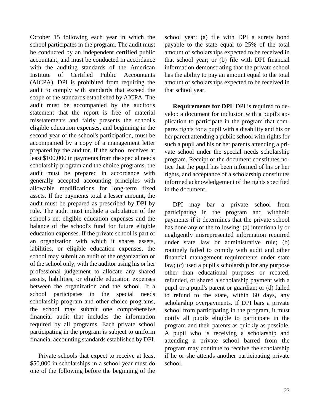October 15 following each year in which the school participates in the program. The audit must be conducted by an independent certified public accountant, and must be conducted in accordance with the auditing standards of the American Institute of Certified Public Accountants (AICPA). DPI is prohibited from requiring the audit to comply with standards that exceed the scope of the standards established by AICPA. The audit must be accompanied by the auditor's statement that the report is free of material misstatements and fairly presents the school's eligible education expenses, and beginning in the second year of the school's participation, must be accompanied by a copy of a management letter prepared by the auditor. If the school receives at least \$100,000 in payments from the special needs scholarship program and the choice programs, the audit must be prepared in accordance with generally accepted accounting principles with allowable modifications for long-term fixed assets. If the payments total a lesser amount, the audit must be prepared as prescribed by DPI by rule. The audit must include a calculation of the school's net eligible education expenses and the balance of the school's fund for future eligible education expenses. If the private school is part of an organization with which it shares assets, labilities, or eligible education expenses, the school may submit an audit of the organization or of the school only, with the auditor using his or her professional judgement to allocate any shared assets, liabilities, or eligible education expenses between the organization and the school. If a school participates in the special needs scholarship program and other choice programs, the school may submit one comprehensive financial audit that includes the information required by all programs. Each private school participating in the program is subject to uniform financial accounting standards established by DPI.

Private schools that expect to receive at least \$50,000 in scholarships in a school year must do one of the following before the beginning of the

school year: (a) file with DPI a surety bond payable to the state equal to 25% of the total amount of scholarships expected to be received in that school year; or (b) file with DPI financial information demonstrating that the private school has the ability to pay an amount equal to the total amount of scholarships expected to be received in that school year.

**Requirements for DPI**. DPI is required to develop a document for inclusion with a pupil's application to participate in the program that compares rights for a pupil with a disability and his or her parent attending a public school with rights for such a pupil and his or her parents attending a private school under the special needs scholarship program. Receipt of the document constitutes notice that the pupil has been informed of his or her rights, and acceptance of a scholarship constitutes informed acknowledgement of the rights specified in the document.

DPI may bar a private school from participating in the program and withhold payments if it determines that the private school has done any of the following: (a) intentionally or negligently misrepresented information required under state law or administrative rule; (b) routinely failed to comply with audit and other financial management requirements under state law; (c) used a pupil's scholarship for any purpose other than educational purposes or rebated, refunded, or shared a scholarship payment with a pupil or a pupil's parent or guardian; or (d) failed to refund to the state, within 60 days, any scholarship overpayments. If DPI bars a private school from participating in the program, it must notify all pupils eligible to participate in the program and their parents as quickly as possible. A pupil who is receiving a scholarship and attending a private school barred from the program may continue to receive the scholarship if he or she attends another participating private school.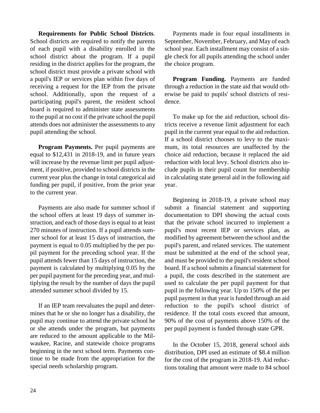**Requirements for Public School Districts**. School districts are required to notify the parents of each pupil with a disability enrolled in the school district about the program. If a pupil residing in the district applies for the program, the school district must provide a private school with a pupil's IEP or services plan within five days of receiving a request for the IEP from the private school. Additionally, upon the request of a participating pupil's parent, the resident school board is required to administer state assessments to the pupil at no cost if the private school the pupil attends does not administer the assessments to any pupil attending the school.

**Program Payments.** Per pupil payments are equal to \$12,431 in 2018-19, and in future years will increase by the revenue limit per pupil adjustment, if positive, provided to school districts in the current year plus the change in total categorical aid funding per pupil, if positive, from the prior year to the current year.

Payments are also made for summer school if the school offers at least 19 days of summer instruction, and each of those days is equal to at least 270 minutes of instruction. If a pupil attends summer school for at least 15 days of instruction, the payment is equal to 0.05 multiplied by the per pupil payment for the preceding school year. If the pupil attends fewer than 15 days of instruction, the payment is calculated by multiplying 0.05 by the per pupil payment for the preceding year, and multiplying the result by the number of days the pupil attended summer school divided by 15.

If an IEP team reevaluates the pupil and determines that he or she no longer has a disability, the pupil may continue to attend the private school he or she attends under the program, but payments are reduced to the amount applicable to the Milwaukee, Racine, and statewide choice programs beginning in the next school term. Payments continue to be made from the appropriation for the special needs scholarship program.

Payments made in four equal installments in September, November, February, and May of each school year. Each installment may consist of a single check for all pupils attending the school under the choice program.

**Program Funding.** Payments are funded through a reduction in the state aid that would otherwise be paid to pupils' school districts of residence.

To make up for the aid reduction, school districts receive a revenue limit adjustment for each pupil in the current year equal to the aid reduction. If a school district chooses to levy to the maximum, its total resources are unaffected by the choice aid reduction, because it replaced the aid reduction with local levy. School districts also include pupils in their pupil count for membership in calculating state general aid in the following aid year.

Beginning in 2018-19, a private school may submit a financial statement and supporting documentation to DPI showing the actual costs that the private school incurred to implement a pupil's most recent IEP or services plan, as modified by agreement between the school and the pupil's parent, and related services. The statement must be submitted at the end of the school year, and must be provided to the pupil's resident school board. If a school submits a financial statement for a pupil, the costs described in the statement are used to calculate the per pupil payment for that pupil in the following year. Up to 150% of the per pupil payment in that year is funded through an aid reduction to the pupil's school district of residence. If the total costs exceed that amount, 90% of the cost of payments above 150% of the per pupil payment is funded through state GPR.

In the October 15, 2018, general school aids distribution, DPI used an estimate of \$8.4 million for the cost of the program in 2018-19. Aid reductions totaling that amount were made to 84 school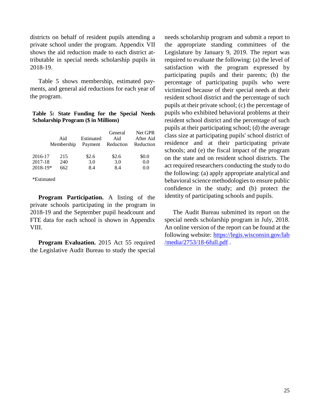districts on behalf of resident pupils attending a private school under the program. Appendix VII shows the aid reduction made to each district attributable in special needs scholarship pupils in 2018-19.

Table 5 shows membership, estimated payments, and general aid reductions for each year of the program.

**Table 5: State Funding for the Special Needs Scholarship Program (\$ in Millions)**

|              | Aid<br>Membership | Estimated<br>Payment | General<br>Aid<br>Reduction | Net GPR<br>After Aid<br>Reduction |
|--------------|-------------------|----------------------|-----------------------------|-----------------------------------|
| 2016-17      | 215               | \$2.6                | \$2.6                       | \$0.0                             |
| 2017-18      | 240               | 3.0                  | 3.0                         | 0.0                               |
| $2018 - 19*$ | 662               | 8.4                  | 8.4                         | 0.0                               |

\*Estimated

**Program Participation.** A listing of the private schools participating in the program in 2018-19 and the September pupil headcount and FTE data for each school is shown in Appendix VIII.

**Program Evaluation.** 2015 Act 55 required the Legislative Audit Bureau to study the special

needs scholarship program and submit a report to the appropriate standing committees of the Legislature by January 9, 2019. The report was required to evaluate the following: (a) the level of satisfaction with the program expressed by participating pupils and their parents; (b) the percentage of participating pupils who were victimized because of their special needs at their resident school district and the percentage of such pupils at their private school; (c) the percentage of pupils who exhibited behavioral problems at their resident school district and the percentage of such pupils at their participating school; (d) the average class size at participating pupils' school district of residence and at their participating private schools; and (e) the fiscal impact of the program on the state and on resident school districts. The act required researchers conducting the study to do the following: (a) apply appropriate analytical and behavioral science methodologies to ensure public confidence in the study; and (b) protect the identity of participating schools and pupils.

The Audit Bureau submitted its report on the special needs scholarship program in July, 2018. An online version of the report can be found at the following website: [https://legis.wisconsin.gov/lab](https://legis.wisconsin.gov/lab/media/2753/18-6full.pdf) [/media/2753/18-6full.pdf](https://legis.wisconsin.gov/lab/media/2753/18-6full.pdf) .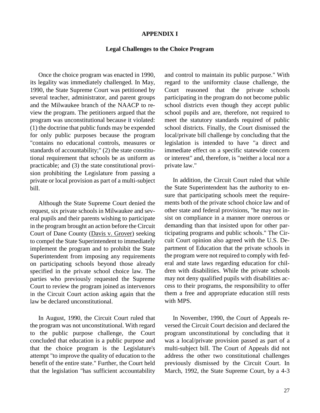#### **APPENDIX I**

#### **Legal Challenges to the Choice Program**

Once the choice program was enacted in 1990, its legality was immediately challenged. In May, 1990, the State Supreme Court was petitioned by several teacher, administrator, and parent groups and the Milwaukee branch of the NAACP to review the program. The petitioners argued that the program was unconstitutional because it violated: (1) the doctrine that public funds may be expended for only public purposes because the program "contains no educational controls, measures or standards of accountability;" (2) the state constitutional requirement that schools be as uniform as practicable; and (3) the state constitutional provision prohibiting the Legislature from passing a private or local provision as part of a multi-subject bill.

Although the State Supreme Court denied the request, six private schools in Milwaukee and several pupils and their parents wishing to participate in the program brought an action before the Circuit Court of Dane County (Davis v. Grover) seeking to compel the State Superintendent to immediately implement the program and to prohibit the State Superintendent from imposing any requirements on participating schools beyond those already specified in the private school choice law. The parties who previously requested the Supreme Court to review the program joined as intervenors in the Circuit Court action asking again that the law be declared unconstitutional.

In August, 1990, the Circuit Court ruled that the program was not unconstitutional. With regard to the public purpose challenge, the Court concluded that education is a public purpose and that the choice program is the Legislature's attempt "to improve the quality of education to the benefit of the entire state." Further, the Court held that the legislation "has sufficient accountability and control to maintain its public purpose." With regard to the uniformity clause challenge, the Court reasoned that the private schools participating in the program do not become public school districts even though they accept public school pupils and are, therefore, not required to meet the statutory standards required of public school districts. Finally, the Court dismissed the local/private bill challenge by concluding that the legislation is intended to have "a direct and immediate effect on a specific statewide concern or interest" and, therefore, is "neither a local nor a private law."

In addition, the Circuit Court ruled that while the State Superintendent has the authority to ensure that participating schools meet the requirements both of the private school choice law and of other state and federal provisions, "he may not insist on compliance in a manner more onerous or demanding than that insisted upon for other participating programs and public schools." The Circuit Court opinion also agreed with the U.S. Department of Education that the private schools in the program were not required to comply with federal and state laws regarding education for children with disabilities. While the private schools may not deny qualified pupils with disabilities access to their programs, the responsibility to offer them a free and appropriate education still rests with MPS.

In November, 1990, the Court of Appeals reversed the Circuit Court decision and declared the program unconstitutional by concluding that it was a local/private provision passed as part of a multi-subject bill. The Court of Appeals did not address the other two constitutional challenges previously dismissed by the Circuit Court. In March, 1992, the State Supreme Court, by a 4-3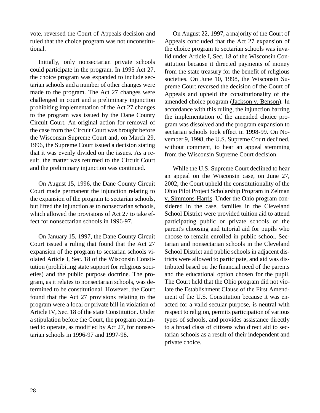vote, reversed the Court of Appeals decision and ruled that the choice program was not unconstitutional.

Initially, only nonsectarian private schools could participate in the program. In 1995 Act 27, the choice program was expanded to include sectarian schools and a number of other changes were made to the program. The Act 27 changes were challenged in court and a preliminary injunction prohibiting implementation of the Act 27 changes to the program was issued by the Dane County Circuit Court. An original action for removal of the case from the Circuit Court was brought before the Wisconsin Supreme Court and, on March 29, 1996, the Supreme Court issued a decision stating that it was evenly divided on the issues. As a result, the matter was returned to the Circuit Court and the preliminary injunction was continued.

On August 15, 1996, the Dane County Circuit Court made permanent the injunction relating to the expansion of the program to sectarian schools, but lifted the injunction as to nonsectarian schools, which allowed the provisions of Act 27 to take effect for nonsectarian schools in 1996-97.

On January 15, 1997, the Dane County Circuit Court issued a ruling that found that the Act 27 expansion of the program to sectarian schools violated Article I, Sec. 18 of the Wisconsin Constitution (prohibiting state support for religious societies) and the public purpose doctrine. The program, as it relates to nonsectarian schools, was determined to be constitutional. However, the Court found that the Act 27 provisions relating to the program were a local or private bill in violation of Article IV, Sec. 18 of the state Constitution. Under a stipulation before the Court, the program continued to operate, as modified by Act 27, for nonsectarian schools in 1996-97 and 1997-98.

On August 22, 1997, a majority of the Court of Appeals concluded that the Act 27 expansion of the choice program to sectarian schools was invalid under Article I, Sec. 18 of the Wisconsin Constitution because it directed payments of money from the state treasury for the benefit of religious societies. On June 10, 1998, the Wisconsin Supreme Court reversed the decision of the Court of Appeals and upheld the constitutionality of the amended choice program (Jackson v. Benson). In accordance with this ruling, the injunction barring the implementation of the amended choice program was dissolved and the program expansion to sectarian schools took effect in 1998-99. On November 9, 1998, the U.S. Supreme Court declined, without comment, to hear an appeal stemming from the Wisconsin Supreme Court decision.

While the U.S. Supreme Court declined to hear an appeal on the Wisconsin case, on June 27, 2002, the Court upheld the constitutionality of the Ohio Pilot Project Scholarship Program in Zelman v. Simmons-Harris. Under the Ohio program considered in the case, families in the Cleveland School District were provided tuition aid to attend participating public or private schools of the parent's choosing and tutorial aid for pupils who choose to remain enrolled in public school. Sectarian and nonsectarian schools in the Cleveland School District and public schools in adjacent districts were allowed to participate, and aid was distributed based on the financial need of the parents and the educational option chosen for the pupil. The Court held that the Ohio program did not violate the Establishment Clause of the First Amendment of the U.S. Constitution because it was enacted for a valid secular purpose, is neutral with respect to religion, permits participation of various types of schools, and provides assistance directly to a broad class of citizens who direct aid to sectarian schools as a result of their independent and private choice.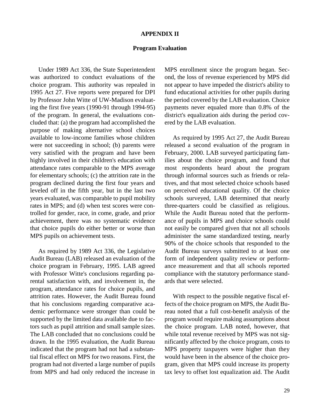#### **APPENDIX II**

#### **Program Evaluation**

Under 1989 Act 336, the State Superintendent was authorized to conduct evaluations of the choice program. This authority was repealed in 1995 Act 27. Five reports were prepared for DPI by Professor John Witte of UW-Madison evaluating the first five years (1990-91 through 1994-95) of the program. In general, the evaluations concluded that: (a) the program had accomplished the purpose of making alternative school choices available to low-income families whose children were not succeeding in school; (b) parents were very satisfied with the program and have been highly involved in their children's education with attendance rates comparable to the MPS average for elementary schools; (c) the attrition rate in the program declined during the first four years and leveled off in the fifth year, but in the last two years evaluated, was comparable to pupil mobility rates in MPS; and (d) when test scores were controlled for gender, race, in come, grade, and prior achievement, there was no systematic evidence that choice pupils do either better or worse than MPS pupils on achievement tests.

As required by 1989 Act 336, the Legislative Audit Bureau (LAB) released an evaluation of the choice program in February, 1995. LAB agreed with Professor Witte's conclusions regarding parental satisfaction with, and involvement in, the program, attendance rates for choice pupils, and attrition rates. However, the Audit Bureau found that his conclusions regarding comparative academic performance were stronger than could be supported by the limited data available due to factors such as pupil attrition and small sample sizes. The LAB concluded that no conclusions could be drawn. In the 1995 evaluation, the Audit Bureau indicated that the program had not had a substantial fiscal effect on MPS for two reasons. First, the program had not diverted a large number of pupils from MPS and had only reduced the increase in

MPS enrollment since the program began. Second, the loss of revenue experienced by MPS did not appear to have impeded the district's ability to fund educational activities for other pupils during the period covered by the LAB evaluation. Choice payments never equaled more than 0.8% of the district's equalization aids during the period covered by the LAB evaluation.

As required by 1995 Act 27, the Audit Bureau released a second evaluation of the program in February, 2000. LAB surveyed participating families about the choice program, and found that most respondents heard about the program through informal sources such as friends or relatives, and that most selected choice schools based on perceived educational quality. Of the choice schools surveyed, LAB determined that nearly three-quarters could be classified as religious. While the Audit Bureau noted that the performance of pupils in MPS and choice schools could not easily be compared given that not all schools administer the same standardized testing, nearly 90% of the choice schools that responded to the Audit Bureau surveys submitted to at least one form of independent quality review or performance measurement and that all schools reported compliance with the statutory performance standards that were selected.

With respect to the possible negative fiscal effects of the choice program on MPS, the Audit Bureau noted that a full cost-benefit analysis of the program would require making assumptions about the choice program. LAB noted, however, that while total revenue received by MPS was not significantly affected by the choice program, costs to MPS property taxpayers were higher than they would have been in the absence of the choice program, given that MPS could increase its property tax levy to offset lost equalization aid. The Audit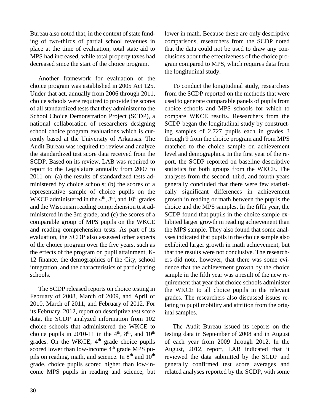Bureau also noted that, in the context of state funding of two-thirds of partial school revenues in place at the time of evaluation, total state aid to MPS had increased, while total property taxes had decreased since the start of the choice program.

Another framework for evaluation of the choice program was established in 2005 Act 125. Under that act, annually from 2006 through 2011, choice schools were required to provide the scores of all standardized tests that they administer to the School Choice Demonstration Project (SCDP), a national collaboration of researchers designing school choice program evaluations which is currently based at the University of Arkansas. The Audit Bureau was required to review and analyze the standardized test score data received from the SCDP. Based on its review, LAB was required to report to the Legislature annually from 2007 to 2011 on: (a) the results of standardized tests administered by choice schools; (b) the scores of a representative sample of choice pupils on the WKCE administered in the  $4<sup>th</sup>$ ,  $8<sup>th</sup>$ , and  $10<sup>th</sup>$  grades and the Wisconsin reading comprehension test administered in the 3rd grade; and (c) the scores of a comparable group of MPS pupils on the WKCE and reading comprehension tests. As part of its evaluation, the SCDP also assessed other aspects of the choice program over the five years, such as the effects of the program on pupil attainment, K-12 finance, the demographics of the City, school integration, and the characteristics of participating schools.

The SCDP released reports on choice testing in February of 2008, March of 2009, and April of 2010, March of 2011, and February of 2012. For its February, 2012, report on descriptive test score data, the SCDP analyzed information from 102 choice schools that administered the WKCE to choice pupils in 2010-11 in the  $4<sup>th</sup>$ ,  $8<sup>th</sup>$ , and  $10<sup>th</sup>$ grades. On the WKCE, 4<sup>th</sup> grade choice pupils scored lower than low-income  $4<sup>th</sup>$  grade MPS pupils on reading, math, and science. In  $8<sup>th</sup>$  and  $10<sup>th</sup>$ grade, choice pupils scored higher than low-income MPS pupils in reading and science, but

lower in math. Because these are only descriptive comparisons, researchers from the SCDP noted that the data could not be used to draw any conclusions about the effectiveness of the choice program compared to MPS, which requires data from the longitudinal study.

To conduct the longitudinal study, researchers from the SCDP reported on the methods that were used to generate comparable panels of pupils from choice schools and MPS schools for which to compare WKCE results. Researchers from the SCDP began the longitudinal study by constructing samples of 2,727 pupils each in grades 3 through 9 from the choice program and from MPS matched to the choice sample on achievement level and demographics. In the first year of the report, the SCDP reported on baseline descriptive statistics for both groups from the WKCE. The analyses from the second, third, and fourth years generally concluded that there were few statistically significant differences in achievement growth in reading or math between the pupils the choice and the MPS samples. In the fifth year, the SCDP found that pupils in the choice sample exhibited larger growth in reading achievement than the MPS sample. They also found that some analyses indicated that pupils in the choice sample also exhibited larger growth in math achievement, but that the results were not conclusive. The researchers did note, however, that there was some evidence that the achievement growth by the choice sample in the fifth year was a result of the new requirement that year that choice schools administer the WKCE to all choice pupils in the relevant grades. The researchers also discussed issues relating to pupil mobility and attrition from the original samples.

The Audit Bureau issued its reports on the testing data in September of 2008 and in August of each year from 2009 through 2012. In the August, 2012, report, LAB indicated that it reviewed the data submitted by the SCDP and generally confirmed test score averages and related analyses reported by the SCDP, with some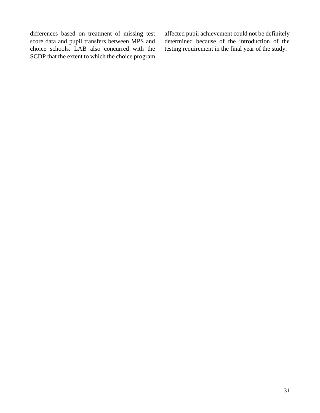differences based on treatment of missing test score data and pupil transfers between MPS and choice schools. LAB also concurred with the SCDP that the extent to which the choice program affected pupil achievement could not be definitely determined because of the introduction of the testing requirement in the final year of the study.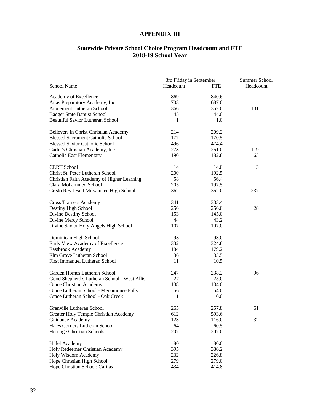# **APPENDIX III**

#### **Statewide Private School Choice Program Headcount and FTE 2018-19 School Year**

|                                              | 3rd Friday in September | Summer School |           |
|----------------------------------------------|-------------------------|---------------|-----------|
| <b>School Name</b>                           | Headcount               | <b>FTE</b>    | Headcount |
| Academy of Excellence                        | 869                     | 840.6         |           |
| Atlas Preparatory Academy, Inc.              | 703                     | 687.0         |           |
| <b>Atonement Lutheran School</b>             | 366                     | 352.0         | 131       |
| <b>Badger State Baptist School</b>           | 45                      | 44.0          |           |
| <b>Beautiful Savior Lutheran School</b>      | 1                       | 1.0           |           |
| Believers in Christ Christian Academy        | 214                     | 209.2         |           |
| <b>Blessed Sacrament Catholic School</b>     | 177                     | 170.5         |           |
| <b>Blessed Savior Catholic School</b>        | 496                     | 474.4         |           |
| Carter's Christian Academy, Inc.             | 273                     | 261.0         | 119       |
| <b>Catholic East Elementary</b>              | 190                     | 182.8         | 65        |
| <b>CERT School</b>                           | 14                      | 14.0          | 3         |
| Christ St. Peter Lutheran School             | 200                     | 192.5         |           |
| Christian Faith Academy of Higher Learning   | 58                      | 56.4          |           |
| Clara Mohammed School                        | 205                     | 197.5         |           |
| Cristo Rey Jesuit Milwaukee High School      | 362                     | 362.0         | 237       |
| <b>Cross Trainers Academy</b>                | 341                     | 333.4         |           |
| Destiny High School                          | 256                     | 256.0         | 28        |
| Divine Destiny School                        | 153                     | 145.0         |           |
| Divine Mercy School                          | 44                      | 43.2          |           |
| Divine Savior Holy Angels High School        | 107                     | 107.0         |           |
| Dominican High School                        | 93                      | 93.0          |           |
| Early View Academy of Excellence             | 332                     | 324.8         |           |
| Eastbrook Academy                            | 184                     | 179.2         |           |
| Elm Grove Lutheran School                    | 36                      | 35.5          |           |
| First Immanuel Lutheran School               | 11                      | 10.5          |           |
| Garden Homes Lutheran School                 | 247                     | 238.2         | 96        |
| Good Shepherd's Lutheran School - West Allis | 27                      | 25.0          |           |
| Grace Christian Academy                      | 138                     | 134.0         |           |
| Grace Lutheran School - Menomonee Falls      | 56                      | 54.0          |           |
| Grace Lutheran School - Oak Creek            | 11                      | 10.0          |           |
| Granville Lutheran School                    | 265                     | 257.8         | 61        |
| Greater Holy Temple Christian Academy        | 612                     | 593.6         |           |
| Guidance Academy                             | 123                     | 116.0         | 32        |
| Hales Corners Lutheran School                | 64                      | 60.5          |           |
| Heritage Christian Schools                   | 207                     | 207.0         |           |
| <b>Hillel Academy</b>                        | 80                      | 80.0          |           |
| Holy Redeemer Christian Academy              | 395                     | 386.2         |           |
| Holy Wisdom Academy                          | 232                     | 226.8         |           |
| Hope Christian High School                   | 279                     | 279.0         |           |
| Hope Christian School: Caritas               | 434                     | 414.8         |           |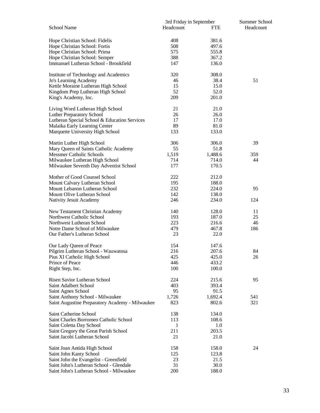|                                                 | 3rd Friday in September |            | Summer School |  |
|-------------------------------------------------|-------------------------|------------|---------------|--|
| School Name                                     | Headcount               | <b>FTE</b> | Headcount     |  |
|                                                 |                         |            |               |  |
| Hope Christian School: Fidelis                  | 408                     | 381.6      |               |  |
| Hope Christian School: Fortis                   | 508                     | 497.6      |               |  |
| Hope Christian School: Prima                    | 575                     | 555.8      |               |  |
| Hope Christian School: Semper                   | 388                     | 367.2      |               |  |
| Immanuel Lutheran School - Brookfield           | 147                     | 136.0      |               |  |
| Institute of Technology and Academics           | 320                     | 308.0      |               |  |
| Jo's Learning Academy                           | 46                      | 38.4       | 51            |  |
| Kettle Moraine Lutheran High School             | 15                      | 15.0       |               |  |
| Kingdom Prep Lutheran High School               | 52                      | 52.0       |               |  |
| King's Academy, Inc.                            | 209                     | 201.0      |               |  |
|                                                 |                         |            |               |  |
| Living Word Lutheran High School                | 21                      | 21.0       |               |  |
| <b>Luther Preparatory School</b>                | 26                      | 26.0       |               |  |
| Lutheran Special School & Education Services    | 17                      | 17.0       |               |  |
| Malaika Early Learning Center                   | 89                      | 81.0       |               |  |
| Marquette University High School                | 133                     | 133.0      |               |  |
| Martin Luther High School                       | 306                     | 306.0      | 39            |  |
| Mary Queen of Saints Catholic Academy           | 55                      | 51.8       |               |  |
| <b>Messmer Catholic Schools</b>                 |                         |            |               |  |
|                                                 | 1,519                   | 1,488.6    | 359           |  |
| Milwaukee Lutheran High School                  | 714                     | 714.0      | 44            |  |
| Milwaukee Seventh Day Adventist School          | 177                     | 170.5      |               |  |
| Mother of Good Counsel School                   | 222                     | 212.0      |               |  |
| Mount Calvary Lutheran School                   | 195                     | 188.0      |               |  |
| Mount Lebanon Lutheran School                   | 232                     | 224.0      | 95            |  |
| Mount Olive Lutheran School                     | 142                     | 138.0      |               |  |
| Nativity Jesuit Academy                         | 246                     | 234.0      | 124           |  |
| New Testament Christian Academy                 | 140                     | 128.0      | 11            |  |
|                                                 |                         |            |               |  |
| Northwest Catholic School                       | 193                     | 187.0      | 25            |  |
| Northwest Lutheran School                       | 223                     | 216.6      | 46            |  |
| Notre Dame School of Milwaukee                  | 479                     | 467.8      | 186           |  |
| Our Father's Lutheran School                    | 23                      | 22.0       |               |  |
| Our Lady Queen of Peace                         | 154                     | 147.6      |               |  |
| Pilgrim Lutheran School - Wauwatosa             | 216                     | 207.6      | 84            |  |
| Pius XI Catholic High School                    | 425                     | 425.0      | 26            |  |
| Prince of Peace                                 | 446                     | 433.2      |               |  |
| Right Step, Inc.                                | 100                     | 100.0      |               |  |
| Risen Savior Lutheran School                    | 224                     | 215.6      | 95            |  |
|                                                 |                         |            |               |  |
| Saint Adalbert School                           | 403                     | 393.4      |               |  |
| Saint Agnes School                              | 95                      | 91.5       |               |  |
| Saint Anthony School - Milwaukee                | 1,726                   | 1,692.4    | 541           |  |
| Saint Augustine Preparatory Academy - Milwaukee | 823                     | 802.6      | 321           |  |
| Saint Catherine School                          | 138                     | 134.0      |               |  |
| Saint Charles Borromeo Catholic School          | 113                     | 108.6      |               |  |
| Saint Coletta Day School                        | 1                       | 1.0        |               |  |
| Saint Gregory the Great Parish School           | 211                     | 203.5      |               |  |
| Saint Jacobi Lutheran School                    | 21                      | 21.0       |               |  |
|                                                 |                         |            |               |  |
| Saint Joan Antida High School                   | 158                     | 158.0      | 24            |  |
| Saint John Kanty School                         | 125                     | 123.8      |               |  |
| Saint John the Evangelist - Greenfield          | 23                      | 21.5       |               |  |
| Saint John's Lutheran School - Glendale         | 31                      | 30.0       |               |  |
| Saint John's Lutheran School - Milwaukee        | 200                     | 188.0      |               |  |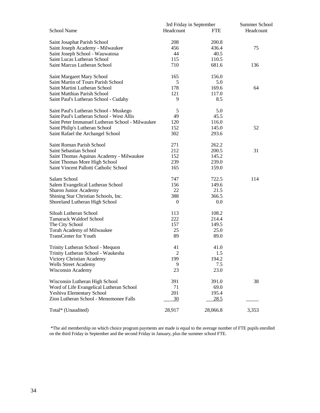|                                                  | 3rd Friday in September |             | Summer School |  |
|--------------------------------------------------|-------------------------|-------------|---------------|--|
| <b>School Name</b>                               | Headcount               | <b>FTE</b>  | Headcount     |  |
| Saint Josaphat Parish School                     | 208                     | 200.8       |               |  |
| Saint Joseph Academy - Milwaukee                 | 456                     | 436.4       | 75            |  |
| Saint Joseph School - Wauwatosa                  | 44                      | 40.5        |               |  |
| Saint Lucas Lutheran School                      | 115                     | 110.5       |               |  |
| Saint Marcus Lutheran School                     | 710                     | 681.6       | 136           |  |
| Saint Margaret Mary School                       | 165                     | 156.0       |               |  |
| Saint Martin of Tours Parish School              | 5                       | 5.0         |               |  |
| Saint Martini Lutheran School                    | 178                     | 169.6       | 64            |  |
| Saint Matthias Parish School                     | 121                     | 117.0       |               |  |
| Saint Paul's Lutheran School - Cudahy            | 9                       | 8.5         |               |  |
| Saint Paul's Lutheran School - Muskego           | 5                       | 5.0         |               |  |
| Saint Paul's Lutheran School - West Allis        | 49                      | 45.5        |               |  |
| Saint Peter Immanuel Lutheran School - Milwaukee | 120                     | 116.0       |               |  |
| Saint Philip's Lutheran School                   | 152                     | 145.0       | 52            |  |
| Saint Rafael the Archangel School                | 302                     | 293.6       |               |  |
| Saint Roman Parish School                        | 271                     | 262.2       |               |  |
| Saint Sebastian School                           | 212                     | 200.5       | 31            |  |
| Saint Thomas Aquinas Academy - Milwaukee         | 152                     | 145.2       |               |  |
| Saint Thomas More High School                    | 239                     | 239.0       |               |  |
| Saint Vincent Pallotti Catholic School           | 165                     | 159.0       |               |  |
| Salam School                                     | 747                     | 722.5       | 114           |  |
| Salem Evangelical Lutheran School                | 156                     | 149.6       |               |  |
| Sharon Junior Academy                            | 22                      | 21.5        |               |  |
| Shining Star Christian Schools, Inc.             | 388                     | 366.5       |               |  |
| Shoreland Lutheran High School                   | $\boldsymbol{0}$        | 0.0         |               |  |
| Siloah Lutheran School                           | 113                     | 108.2       |               |  |
| <b>Tamarack Waldorf School</b>                   | 222                     | 214.4       |               |  |
| The City School                                  | 157                     | 149.5       |               |  |
| Torah Academy of Milwaukee                       | 25                      | 25.0        |               |  |
| <b>TransCenter for Youth</b>                     | 89                      | 89.0        |               |  |
| Trinity Lutheran School - Mequon                 | 41                      | 41.0        |               |  |
| Trinity Lutheran School - Waukesha               | $\overline{c}$          | 1.5         |               |  |
| Victory Christian Academy                        | 199                     | 194.2       |               |  |
| <b>Wells Street Academy</b>                      | 9                       | 7.5         |               |  |
| Wisconsin Academy                                | 23                      | 23.0        |               |  |
| Wisconsin Lutheran High School                   | 391                     | 391.0       | 38            |  |
| Word of Life Evangelical Lutheran School         | 71                      | 69.0        |               |  |
| Yeshiva Elementary School                        | 201                     | 195.4       |               |  |
| Zion Lutheran School - Menomonee Falls           | 30                      | <u>28.5</u> |               |  |
| Total* (Unaudited)                               | 28,917                  | 28,066.8    | 3,353         |  |

\*The aid membership on which choice program payments are made is equal to the average number of FTE pupils enrolled on the third Friday in September and the second Friday in January, plus the summer school FTE.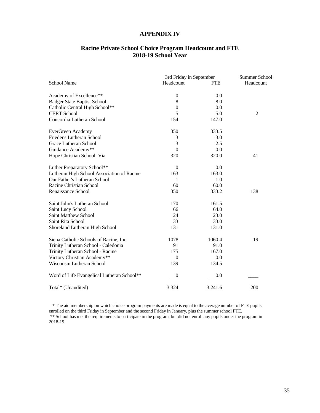#### **APPENDIX IV**

### **Racine Private School Choice Program Headcount and FTE 2018-19 School Year**

|                                            | 3rd Friday in September | Summer School |                |
|--------------------------------------------|-------------------------|---------------|----------------|
| <b>School Name</b>                         | Headcount               | <b>FTE</b>    | Headcount      |
| Academy of Excellence**                    | $\boldsymbol{0}$        | 0.0           |                |
| <b>Badger State Baptist School</b>         | 8                       | 8.0           |                |
| Catholic Central High School**             | $\boldsymbol{0}$        | 0.0           |                |
| <b>CERT School</b>                         | 5                       | 5.0           | $\overline{2}$ |
| Concordia Lutheran School                  | 154                     | 147.0         |                |
| EverGreen Academy                          | 350                     | 333.5         |                |
| Friedens Lutheran School                   | 3                       | 3.0           |                |
| Grace Lutheran School                      | 3                       | 2.5           |                |
| Guidance Academy**                         | $\Omega$                | 0.0           |                |
| Hope Christian School: Via                 | 320                     | 320.0         | 41             |
| Luther Preparatory School**                | $\mathbf{0}$            | 0.0           |                |
| Lutheran High School Association of Racine | 163                     | 163.0         |                |
| Our Father's Lutheran School               | 1                       | 1.0           |                |
| Racine Christian School                    | 60                      | 60.0          |                |
| Renaissance School                         | 350                     | 333.2         | 138            |
| Saint John's Lutheran School               | 170                     | 161.5         |                |
| Saint Lucy School                          | 66                      | 64.0          |                |
| <b>Saint Matthew School</b>                | 24                      | 23.0          |                |
| Saint Rita School                          | 33                      | 33.0          |                |
| Shoreland Lutheran High School             | 131                     | 131.0         |                |
| Siena Catholic Schools of Racine, Inc      | 1078                    | 1060.4        | 19             |
| Trinity Lutheran School - Caledonia        | 91                      | 91.0          |                |
| Trinity Lutheran School - Racine           | 175                     | 167.0         |                |
| Victory Christian Academy**                | $\mathbf{0}$            | 0.0           |                |
| Wisconsin Lutheran School                  | 139                     | 134.5         |                |
| Word of Life Evangelical Lutheran School** | $\overline{0}$          | 0.0           |                |
| Total* (Unaudited)                         | 3,324                   | 3,241.6       | 200            |

 \* The aid membership on which choice program payments are made is equal to the average number of FTE pupils enrolled on the third Friday in September and the second Friday in January, plus the summer school FTE. \*\* School has met the requirements to participate in the program, but did not enroll any pupils under the program in 2018-19.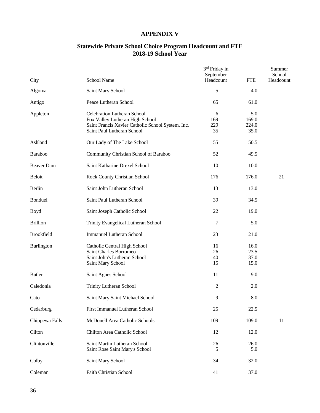# **APPENDIX V**

#### **Statewide Private School Choice Program Headcount and FTE 2018-19 School Year**

| City              | School Name                                                                                                                                              | 3rd Friday in<br>September<br>Headcount | <b>FTE</b>                    | Summer<br>School<br>Headcount |
|-------------------|----------------------------------------------------------------------------------------------------------------------------------------------------------|-----------------------------------------|-------------------------------|-------------------------------|
| Algoma            | Saint Mary School                                                                                                                                        | 5                                       | 4.0                           |                               |
| Antigo            | Peace Lutheran School                                                                                                                                    | 65                                      | 61.0                          |                               |
| Appleton          | <b>Celebration Lutheran School</b><br>Fox Valley Lutheran High School<br>Saint Francis Xavier Catholic School System, Inc.<br>Saint Paul Lutheran School | 6<br>169<br>229<br>35                   | 5.0<br>169.0<br>224.0<br>35.0 |                               |
| Ashland           | Our Lady of The Lake School                                                                                                                              | 55                                      | 50.5                          |                               |
| Baraboo           | Community Christian School of Baraboo                                                                                                                    | 52                                      | 49.5                          |                               |
| <b>Beaver Dam</b> | Saint Katharine Drexel School                                                                                                                            | 10                                      | 10.0                          |                               |
| Beloit            | Rock County Christian School                                                                                                                             | 176                                     | 176.0                         | 21                            |
| Berlin            | Saint John Lutheran School                                                                                                                               | 13                                      | 13.0                          |                               |
| <b>Bonduel</b>    | Saint Paul Lutheran School                                                                                                                               | 39                                      | 34.5                          |                               |
| Boyd              | Saint Joseph Catholic School                                                                                                                             | 22                                      | 19.0                          |                               |
| <b>Brillion</b>   | Trinity Evangelical Lutheran School                                                                                                                      | 7                                       | 5.0                           |                               |
| <b>Brookfield</b> | <b>Immanuel Lutheran School</b>                                                                                                                          | 23                                      | 21.0                          |                               |
| Burlington        | Catholic Central High School<br>Saint Charles Borromeo<br>Saint John's Lutheran School<br>Saint Mary School                                              | 16<br>26<br>40<br>15                    | 16.0<br>23.5<br>37.0<br>15.0  |                               |
| <b>Butler</b>     | Saint Agnes School                                                                                                                                       | 11                                      | 9.0                           |                               |
| Caledonia         | <b>Trinity Lutheran School</b>                                                                                                                           | 2                                       | 2.0                           |                               |
| Cato              | Saint Mary Saint Michael School                                                                                                                          | 9                                       | 8.0                           |                               |
| Cedarburg         | First Immanuel Lutheran School                                                                                                                           | 25                                      | 22.5                          |                               |
| Chippewa Falls    | McDonell Area Catholic Schools                                                                                                                           | 109                                     | 109.0                         | 11                            |
| Cilton            | Chilton Area Catholic School                                                                                                                             | 12                                      | 12.0                          |                               |
| Clintonville      | Saint Martin Lutheran School<br>Saint Rose Saint Mary's School                                                                                           | 26<br>5                                 | 26.0<br>5.0                   |                               |
| Colby             | Saint Mary School                                                                                                                                        | 34                                      | 32.0                          |                               |
| Coleman           | Faith Christian School                                                                                                                                   | 41                                      | 37.0                          |                               |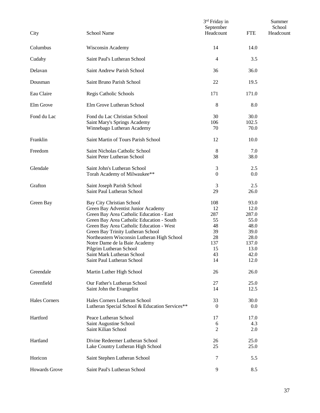| City                 | School Name                                                                                                                                                                                                                                                                                                                                                                                                             | 3rd Friday in<br>September<br>Headcount                           | <b>FTE</b>                                                                             | Summer<br>School<br>Headcount |
|----------------------|-------------------------------------------------------------------------------------------------------------------------------------------------------------------------------------------------------------------------------------------------------------------------------------------------------------------------------------------------------------------------------------------------------------------------|-------------------------------------------------------------------|----------------------------------------------------------------------------------------|-------------------------------|
| Columbus             | Wisconsin Academy                                                                                                                                                                                                                                                                                                                                                                                                       | 14                                                                | 14.0                                                                                   |                               |
| Cudahy               | Saint Paul's Lutheran School                                                                                                                                                                                                                                                                                                                                                                                            | $\overline{4}$                                                    | 3.5                                                                                    |                               |
| Delavan              | Saint Andrew Parish School                                                                                                                                                                                                                                                                                                                                                                                              | 36                                                                | 36.0                                                                                   |                               |
| Dousman              | Saint Bruno Parish School                                                                                                                                                                                                                                                                                                                                                                                               | 22                                                                | 19.5                                                                                   |                               |
| Eau Claire           | Regis Catholic Schools                                                                                                                                                                                                                                                                                                                                                                                                  | 171                                                               | 171.0                                                                                  |                               |
| Elm Grove            | Elm Grove Lutheran School                                                                                                                                                                                                                                                                                                                                                                                               | 8                                                                 | 8.0                                                                                    |                               |
| Fond du Lac          | Fond du Lac Christian School<br>Saint Mary's Springs Academy<br>Winnebago Lutheran Academy                                                                                                                                                                                                                                                                                                                              | 30<br>106<br>70                                                   | 30.0<br>102.5<br>70.0                                                                  |                               |
| Franklin             | Saint Martin of Tours Parish School                                                                                                                                                                                                                                                                                                                                                                                     | 12                                                                | 10.0                                                                                   |                               |
| Freedom              | Saint Nicholas Catholic School<br>Saint Peter Lutheran School                                                                                                                                                                                                                                                                                                                                                           | $\,8\,$<br>38                                                     | 7.0<br>38.0                                                                            |                               |
| Glendale             | Saint John's Lutheran School<br>Torah Academy of Milwaukee**                                                                                                                                                                                                                                                                                                                                                            | 3<br>$\overline{0}$                                               | 2.5<br>0.0                                                                             |                               |
| Grafton              | Saint Joseph Parish School<br>Saint Paul Lutheran School                                                                                                                                                                                                                                                                                                                                                                | 3<br>29                                                           | 2.5<br>26.0                                                                            |                               |
| Green Bay            | <b>Bay City Christian School</b><br>Green Bay Adventist Junior Academy<br>Green Bay Area Catholic Education - East<br>Green Bay Area Catholic Education - South<br>Green Bay Area Catholic Education - West<br>Green Bay Trinity Lutheran School<br>Northeastern Wisconsin Lutheran High School<br>Notre Dame de la Baie Academy<br>Pilgrim Lutheran School<br>Saint Mark Lutheran School<br>Saint Paul Lutheran School | 108<br>12<br>287<br>55<br>48<br>39<br>28<br>137<br>15<br>43<br>14 | 93.0<br>12.0<br>287.0<br>55.0<br>48.0<br>39.0<br>28.0<br>137.0<br>13.0<br>42.0<br>12.0 |                               |
| Greendale            | Martin Luther High School                                                                                                                                                                                                                                                                                                                                                                                               | 26                                                                | 26.0                                                                                   |                               |
| Greenfield           | Our Father's Lutheran School<br>Saint John the Evangelist                                                                                                                                                                                                                                                                                                                                                               | 27<br>14                                                          | 25.0<br>12.5                                                                           |                               |
| <b>Hales Corners</b> | Hales Corners Lutheran School<br>Lutheran Special School & Education Services**                                                                                                                                                                                                                                                                                                                                         | 33<br>$\theta$                                                    | 30.0<br>$0.0\,$                                                                        |                               |
| Hartford             | Peace Lutheran School<br>Saint Augustine School<br>Saint Kilian School                                                                                                                                                                                                                                                                                                                                                  | 17<br>6<br>2                                                      | 17.0<br>4.3<br>2.0                                                                     |                               |
| Hartland             | Divine Redeemer Lutheran School<br>Lake Country Lutheran High School                                                                                                                                                                                                                                                                                                                                                    | 26<br>25                                                          | 25.0<br>25.0                                                                           |                               |
| Horicon              | Saint Stephen Lutheran School                                                                                                                                                                                                                                                                                                                                                                                           | 7                                                                 | 5.5                                                                                    |                               |
| <b>Howards Grove</b> | Saint Paul's Lutheran School                                                                                                                                                                                                                                                                                                                                                                                            | 9                                                                 | 8.5                                                                                    |                               |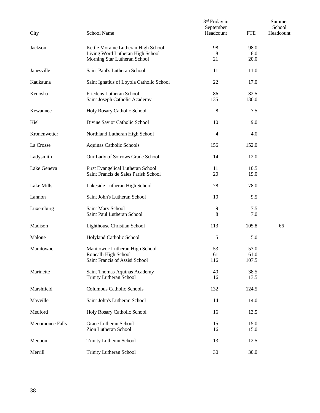| City            | School Name                                                                                             | 3rd Friday in<br>September<br>Headcount | <b>FTE</b>            | Summer<br>School<br>Headcount |
|-----------------|---------------------------------------------------------------------------------------------------------|-----------------------------------------|-----------------------|-------------------------------|
| Jackson         | Kettle Moraine Lutheran High School<br>Living Word Lutheran High School<br>Morning Star Lutheran School | 98<br>$\,8\,$<br>21                     | 98.0<br>8.0<br>20.0   |                               |
| Janesville      | Saint Paul's Lutheran School                                                                            | 11                                      | 11.0                  |                               |
| Kaukauna        | Saint Ignatius of Loyola Catholic School                                                                | 22                                      | 17.0                  |                               |
| Kenosha         | Friedens Lutheran School<br>Saint Joseph Catholic Academy                                               | 86<br>135                               | 82.5<br>130.0         |                               |
| Kewaunee        | Holy Rosary Catholic School                                                                             | 8                                       | 7.5                   |                               |
| Kiel            | Divine Savior Catholic School                                                                           | 10                                      | 9.0                   |                               |
| Kronenwetter    | Northland Lutheran High School                                                                          | $\overline{4}$                          | 4.0                   |                               |
| La Crosse       | Aquinas Catholic Schools                                                                                | 156                                     | 152.0                 |                               |
| Ladysmith       | Our Lady of Sorrows Grade School                                                                        | 14                                      | 12.0                  |                               |
| Lake Geneva     | First Evangelical Lutheran School<br>Saint Francis de Sales Parish School                               | 11<br>20                                | 10.5<br>19.0          |                               |
| Lake Mills      | Lakeside Lutheran High School                                                                           | 78                                      | 78.0                  |                               |
| Lannon          | Saint John's Lutheran School                                                                            | 10                                      | 9.5                   |                               |
| Luxemburg       | Saint Mary School<br>Saint Paul Lutheran School                                                         | 9<br>8                                  | 7.5<br>7.0            |                               |
| Madison         | Lighthouse Christian School                                                                             | 113                                     | 105.8                 | 66                            |
| Malone          | Holyland Catholic School                                                                                | 5                                       | 5.0                   |                               |
| Manitowoc       | Manitowoc Lutheran High School<br>Roncalli High School<br>Saint Francis of Assisi School                | 53<br>61<br>116                         | 53.0<br>61.0<br>107.5 |                               |
| Marinette       | Saint Thomas Aquinas Academy<br>Trinity Lutheran School                                                 | 40<br>16                                | 38.5<br>13.5          |                               |
| Marshfield      | Columbus Catholic Schools                                                                               | 132                                     | 124.5                 |                               |
| Mayville        | Saint John's Lutheran School                                                                            | 14                                      | 14.0                  |                               |
| Medford         | Holy Rosary Catholic School                                                                             | 16                                      | 13.5                  |                               |
| Menomonee Falls | Grace Lutheran School<br>Zion Lutheran School                                                           | 15<br>16                                | 15.0<br>15.0          |                               |
| Mequon          | <b>Trinity Lutheran School</b>                                                                          | 13                                      | 12.5                  |                               |
| Merrill         | <b>Trinity Lutheran School</b>                                                                          | 30                                      | 30.0                  |                               |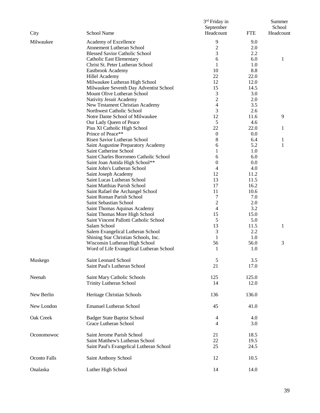| City                | <b>School Name</b>                                             | 3rd Friday in<br>September<br>Headcount | <b>FTE</b>   | Summer<br>School<br>Headcount |
|---------------------|----------------------------------------------------------------|-----------------------------------------|--------------|-------------------------------|
| Milwaukee           | Academy of Excellence                                          | 9                                       | 9.0          |                               |
|                     | Atonement Lutheran School                                      | $\overline{2}$                          | 2.0          |                               |
|                     | <b>Blessed Savior Catholic School</b>                          | 3                                       | 2.2          |                               |
|                     | <b>Catholic East Elementary</b>                                | 6                                       | 6.0          | 1                             |
|                     | Christ St. Peter Lutheran School                               | 1                                       | 1.0          |                               |
|                     | Eastbrook Academy                                              | 10                                      | 8.8          |                               |
|                     | Hillel Academy                                                 | 22                                      | 22.0         |                               |
|                     | Milwaukee Lutheran High School                                 | 12                                      | 12.0         |                               |
|                     | Milwaukee Seventh Day Adventist School                         | 15                                      | 14.5         |                               |
|                     | Mount Olive Lutheran School                                    | 3                                       | 3.0          |                               |
|                     | Nativity Jesuit Academy                                        | $\overline{2}$                          | 2.0          |                               |
|                     | New Testament Christian Academy                                | $\overline{4}$                          | 3.5          |                               |
|                     | Northwest Catholic School                                      | 3                                       | 2.6          |                               |
|                     | Notre Dame School of Milwaukee                                 | 12                                      | 11.6         | 9                             |
|                     | Our Lady Queen of Peace                                        | 5                                       | 4.6          |                               |
|                     | Pius XI Catholic High School                                   | 22                                      | 22.0         | 1                             |
|                     | Prince of Peace**                                              | $\boldsymbol{0}$                        | 0.0          |                               |
|                     | Risen Savior Lutheran School                                   | 8                                       | 6.4          | 1                             |
|                     | Saint Augustine Preparatory Academy                            | 6                                       | 5.2          | 1                             |
|                     | Saint Catherine School                                         | 1                                       | 1.0          |                               |
|                     | Saint Charles Borromeo Catholic School                         | 6                                       | 6.0          |                               |
|                     | Saint Joan Antida High School**                                | $\boldsymbol{0}$                        | 0.0          |                               |
|                     | Saint John's Lutheran School                                   | $\overline{4}$                          | 4.0          |                               |
|                     | Saint Joseph Academy                                           | 12<br>13                                | 11.2         |                               |
|                     | Saint Lucas Lutheran School                                    | 17                                      | 11.5<br>16.2 |                               |
|                     | Saint Matthias Parish School                                   | 11                                      | 10.6         |                               |
|                     | Saint Rafael the Archangel School<br>Saint Roman Parish School | 7                                       | 7.0          |                               |
|                     | Saint Sebastian School                                         | $\boldsymbol{2}$                        | 2.0          |                               |
|                     | Saint Thomas Aquinas Academy                                   | $\overline{4}$                          | 3.2          |                               |
|                     | Saint Thomas More High School                                  | 15                                      | 15.0         |                               |
|                     | Saint Vincent Pallotti Catholic School                         | 5                                       | 5.0          |                               |
|                     | Salam School                                                   | 13                                      | 11.5         | 1                             |
|                     | Salem Evangelical Lutheran School                              | 3                                       | 2.2          |                               |
|                     | Shining Star Christian Schools, Inc.                           | 1                                       | 1.0          |                               |
|                     | Wisconsin Lutheran High School                                 | 56                                      | 56.0         | 3                             |
|                     | Word of Life Evangelical Lutheran School                       | 1                                       | 1.0          |                               |
|                     |                                                                |                                         |              |                               |
| Muskego             | Saint Leonard School                                           | 5                                       | 3.5          |                               |
|                     | Saint Paul's Lutheran School                                   | 21                                      | 17.0         |                               |
| Neenah              | Saint Mary Catholic Schools                                    | 125                                     | 125.0        |                               |
|                     | <b>Trinity Lutheran School</b>                                 | 14                                      | 12.0         |                               |
| New Berlin          | Heritage Christian Schools                                     | 136                                     | 136.0        |                               |
| New London          | <b>Emanuel Lutheran School</b>                                 | 45                                      | 41.0         |                               |
|                     |                                                                |                                         |              |                               |
| Oak Creek           | <b>Badger State Baptist School</b><br>Grace Lutheran School    | 4<br>4                                  | 4.0<br>3.0   |                               |
|                     |                                                                |                                         |              |                               |
| Oconomowoc          | Saint Jerome Parish School                                     | 21<br>22                                | 18.5<br>19.5 |                               |
|                     | Saint Matthew's Lutheran School                                | 25                                      | 24.5         |                               |
|                     | Saint Paul's Evangelical Lutheran School                       |                                         |              |                               |
| <b>Oconto Falls</b> | Saint Anthony School                                           | 12                                      | 10.5         |                               |
| Onalaska            | Luther High School                                             | 14                                      | 14.0         |                               |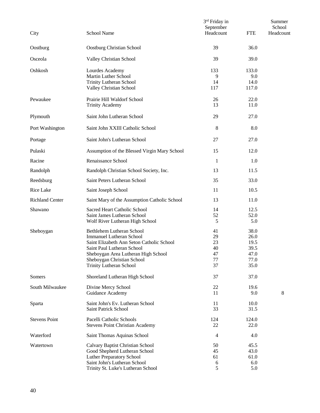| City                   | <b>School Name</b>                                                                                                                                                                                                                             | 3rd Friday in<br>September<br>Headcount | <b>FTE</b>                                           | Summer<br>School<br>Headcount |
|------------------------|------------------------------------------------------------------------------------------------------------------------------------------------------------------------------------------------------------------------------------------------|-----------------------------------------|------------------------------------------------------|-------------------------------|
| Oostburg               | Oostburg Christian School                                                                                                                                                                                                                      | 39                                      | 36.0                                                 |                               |
| Osceola                | Valley Christian School                                                                                                                                                                                                                        | 39                                      | 39.0                                                 |                               |
| Oshkosh                | Lourdes Academy<br><b>Martin Luther School</b>                                                                                                                                                                                                 | 133<br>9                                | 133.0<br>9.0                                         |                               |
|                        | <b>Trinity Lutheran School</b><br>Valley Christian School                                                                                                                                                                                      | 14<br>117                               | 14.0<br>117.0                                        |                               |
| Pewaukee               | Prairie Hill Waldorf School<br><b>Trinity Academy</b>                                                                                                                                                                                          | 26<br>13                                | 22.0<br>11.0                                         |                               |
| Plymouth               | Saint John Lutheran School                                                                                                                                                                                                                     | 29                                      | 27.0                                                 |                               |
| Port Washington        | Saint John XXIII Catholic School                                                                                                                                                                                                               | 8                                       | 8.0                                                  |                               |
| Portage                | Saint John's Lutheran School                                                                                                                                                                                                                   | 27                                      | 27.0                                                 |                               |
| Pulaski                | Assumption of the Blessed Virgin Mary School                                                                                                                                                                                                   | 15                                      | 12.0                                                 |                               |
| Racine                 | Renaissance School                                                                                                                                                                                                                             | 1                                       | 1.0                                                  |                               |
| Randolph               | Randolph Christian School Society, Inc.                                                                                                                                                                                                        | 13                                      | 11.5                                                 |                               |
| Reedsburg              | Saint Peters Lutheran School                                                                                                                                                                                                                   | 35                                      | 33.0                                                 |                               |
| Rice Lake              | Saint Joseph School                                                                                                                                                                                                                            | 11                                      | 10.5                                                 |                               |
| <b>Richland Center</b> | Saint Mary of the Assumption Catholic School                                                                                                                                                                                                   | 13                                      | 11.0                                                 |                               |
| Shawano                | Sacred Heart Catholic School<br>Saint James Lutheran School<br>Wolf River Lutheran High School                                                                                                                                                 | 14<br>52<br>5                           | 12.5<br>52.0<br>5.0                                  |                               |
| Sheboygan              | Bethlehem Lutheran School<br><b>Immanuel Lutheran School</b><br>Saint Elizabeth Ann Seton Catholic School<br>Saint Paul Lutheran School<br>Sheboygan Area Lutheran High School<br>Sheboygan Christian School<br><b>Trinity Lutheran School</b> | 41<br>29<br>23<br>40<br>47<br>77<br>37  | 38.0<br>26.0<br>19.5<br>39.5<br>47.0<br>77.0<br>35.0 |                               |
| Somers                 | Shoreland Lutheran High School                                                                                                                                                                                                                 | 37                                      | 37.0                                                 |                               |
| South Milwaukee        | Divine Mercy School<br>Guidance Academy                                                                                                                                                                                                        | 22<br>11                                | 19.6<br>9.0                                          | 8                             |
| Sparta                 | Saint John's Ev. Lutheran School<br><b>Saint Patrick School</b>                                                                                                                                                                                | 11<br>33                                | 10.0<br>31.5                                         |                               |
| <b>Stevens Point</b>   | Pacelli Catholic Schools<br><b>Stevens Point Christian Academy</b>                                                                                                                                                                             | 124<br>22                               | 124.0<br>22.0                                        |                               |
| Waterford              | Saint Thomas Aquinas School                                                                                                                                                                                                                    | 4                                       | 4.0                                                  |                               |
| Watertown              | Calvary Baptist Christian School<br>Good Shepherd Lutheran School<br><b>Luther Preparatory School</b><br>Saint John's Lutheran School<br>Trinity St. Luke's Lutheran School                                                                    | 50<br>45<br>61<br>6<br>5                | 45.5<br>43.0<br>61.0<br>6.0<br>5.0                   |                               |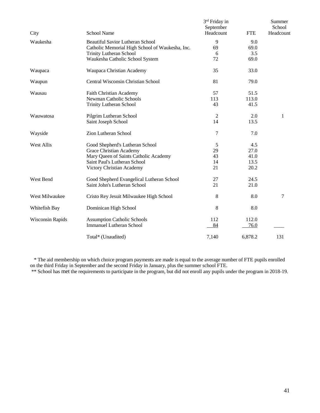| City                    | <b>School Name</b>                              | 3rd Friday in<br>September<br>Headcount | <b>FTE</b> | Summer<br>School<br>Headcount |
|-------------------------|-------------------------------------------------|-----------------------------------------|------------|-------------------------------|
| Waukesha                | Beautiful Savior Lutheran School                | 9                                       | 9.0        |                               |
|                         | Catholic Memorial High School of Waukesha, Inc. | 69                                      | 69.0       |                               |
|                         | <b>Trinity Lutheran School</b>                  | 6                                       | 3.5        |                               |
|                         | Waukesha Catholic School System                 | 72                                      | 69.0       |                               |
| Waupaca                 | Waupaca Christian Academy                       | 35                                      | 33.0       |                               |
| Waupun                  | Central Wisconsin Christian School              | 81                                      | 79.0       |                               |
| Wausau                  | Faith Christian Academy                         | 57                                      | 51.5       |                               |
|                         | <b>Newman Catholic Schools</b>                  | 113                                     | 113.0      |                               |
|                         | <b>Trinity Lutheran School</b>                  | 43                                      | 41.5       |                               |
| Wauwatosa               | Pilgrim Lutheran School                         | $\mathfrak{2}$                          | 2.0        | 1                             |
|                         | Saint Joseph School                             | 14                                      | 13.5       |                               |
| Wayside                 | Zion Lutheran School                            | 7                                       | 7.0        |                               |
| West Allis              | Good Shepherd's Lutheran School                 | 5                                       | 4.5        |                               |
|                         | Grace Christian Academy                         | 29                                      | 27.0       |                               |
|                         | Mary Queen of Saints Catholic Academy           | 43                                      | 41.0       |                               |
|                         | Saint Paul's Lutheran School                    | 14                                      | 13.5       |                               |
|                         | Victory Christian Academy                       | 21                                      | 20.2       |                               |
| West Bend               | Good Shepherd Evangelical Lutheran School       | 27                                      | 24.5       |                               |
|                         | Saint John's Lutheran School                    | 21                                      | 21.0       |                               |
| West Milwaukee          | Cristo Rey Jesuit Milwaukee High School         | 8                                       | 8.0        | 7                             |
| Whitefish Bay           | Dominican High School                           | 8                                       | 8.0        |                               |
| <b>Wisconsin Rapids</b> | <b>Assumption Catholic Schools</b>              | 112                                     | 112.0      |                               |
|                         | <b>Immanuel Lutheran School</b>                 | 84                                      | 76.0       |                               |
|                         | Total* (Unaudited)                              | 7,140                                   | 6,878.2    | 131                           |

 \* The aid membership on which choice program payments are made is equal to the average number of FTE pupils enrolled on the third Friday in September and the second Friday in January, plus the summer school FTE.

\*\* School has met the requirements to participate in the program, but did not enroll any pupils under the program in 2018-19.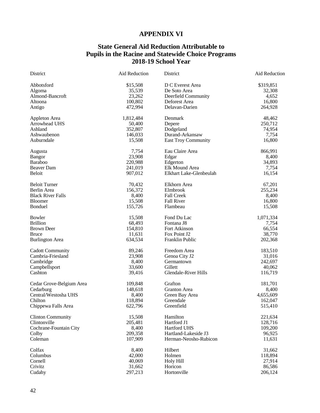# **APPENDIX VI**

# **State General Aid Reduction Attributable to Pupils in the Racine and Statewide Choice Programs 2018-19 School Year**

| District                 | <b>Aid Reduction</b> | District                   | Aid Reduction |
|--------------------------|----------------------|----------------------------|---------------|
| Abbotsford               | \$15,508             | D C Everest Area           | \$319,851     |
| Algoma                   | 35,539               | De Soto Area               | 32,308        |
| Almond-Bancroft          | 23,262               | Deerfield Community        | 4,652         |
| Altoona                  | 100,802              | Deforest Area              | 16,800        |
| Antigo                   | 472,994              | Delavan-Darien             | 264,928       |
|                          |                      |                            |               |
| Appleton Area            | 1,812,484            | Denmark                    | 48,462        |
| Arrowhead UHS            | 50,400               | Depere                     | 250,712       |
| Ashland                  | 352,807              | Dodgeland                  | 74,954        |
| Ashwaubenon              | 146,033              | Durand-Arkansaw            | 7,754         |
| Auburndale               | 15,508               | <b>East Troy Community</b> | 16,800        |
| Augusta                  | 7,754                | Eau Claire Area            | 866,991       |
| <b>Bangor</b>            | 23,908               | Edgar                      | 8,400         |
| Baraboo                  | 220,988              | Edgerton                   | 34,893        |
| <b>Beaver Dam</b>        | 241,019              | Elk Mound Area             | 7,754         |
| <b>Beloit</b>            | 907,012              | Elkhart Lake-Glenbeulah    | 16,154        |
|                          |                      |                            |               |
| <b>Beloit Turner</b>     | 70,432               | Elkhorn Area               | 67,201        |
| Berlin Area              | 156,372              | Elmbrook                   | 255,234       |
| <b>Black River Falls</b> | 8,400                | <b>Fall Creek</b>          | 8,400         |
| <b>Bloomer</b>           | 15,508               | <b>Fall River</b>          | 16,800        |
| Bonduel                  | 155,726              | Flambeau                   | 15,508        |
| <b>Bowler</b>            | 15,508               | Fond Du Lac                | 1,071,334     |
| <b>Brillion</b>          | 68,493               | Fontana J8                 | 7,754         |
| <b>Brown Deer</b>        | 154,810              | Fort Atkinson              | 66,554        |
| <b>Bruce</b>             | 11,631               | Fox Point J2               | 38,770        |
| <b>Burlington Area</b>   | 634,534              | Franklin Public            | 202,368       |
|                          |                      |                            |               |
| <b>Cadott Community</b>  | 89,246               | Freedom Area               | 183,510       |
| Cambria-Friesland        | 23,908               | Genoa City J2              | 31,016        |
| Cambridge                | 8,400                | Germantown                 | 242,697       |
| Campbellsport            | 33,600               | Gillett                    | 40,062        |
| Cashton                  | 39,416               | Glendale-River Hills       | 116,719       |
| Cedar Grove-Belgium Area | 109,848              | Grafton                    | 181,701       |
| Cedarburg                | 148,618              | <b>Granton</b> Area        | 8,400         |
| Central/Westosha UHS     | 8,400                | Green Bay Area             | 4,655,609     |
| Chilton                  | 118,894              | Greendale                  | 162,047       |
| Chippewa Falls Area      | 622,796              | Greenfield                 | 515,410       |
| <b>Clinton Community</b> | 15,508               | Hamilton                   | 221,634       |
|                          |                      |                            |               |
| Clintonville             | 205,481              | Hartford J1                | 128,716       |
| Cochrane-Fountain City   | 8,400                | Hartford UHS               | 109,200       |
| Colby                    | 209,358              | Hartland-Lakeside J3       | 96,925        |
| Coleman                  | 107,909              | Herman-Neosho-Rubicon      | 11,631        |
| Colfax                   | 8,400                | Hilbert                    | 31,662        |
| Columbus                 | 42,000               | Holmen                     | 118,894       |
| Cornell                  | 40,069               | <b>Holy Hill</b>           | 27,914        |
| Crivitz                  | 31,662               | Horicon                    | 86,586        |
| Cudahy                   | 297,213              | Hortonville                | 206,124       |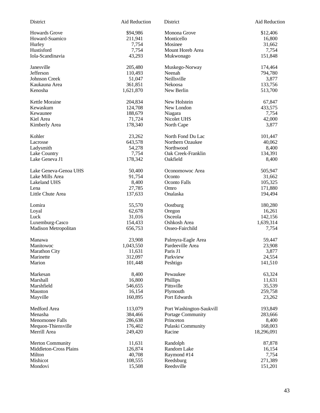| District                | Aid Reduction | District                 | Aid Reduction |
|-------------------------|---------------|--------------------------|---------------|
| <b>Howards Grove</b>    | \$94,986      | Monona Grove             | \$12,406      |
| Howard-Suamico          | 211,941       | Monticello               | 16,800        |
| Hurley                  | 7,754         | Mosinee                  | 31,662        |
| Hustisford              | 7,754         | Mount Horeb Area         | 7,754         |
| Iola-Scandinavia        | 43,293        | Mukwonago                | 151,848       |
| Janesville              | 205,480       | Muskego-Norway           | 174,464       |
| Jefferson               | 110,493       | Neenah                   | 794,780       |
| Johnson Creek           | 51,047        | Neillsville              | 3,877         |
| Kaukauna Area           | 361,851       | Nekoosa                  | 133,756       |
| Kenosha                 | 1,621,870     | New Berlin               | 513,700       |
| Kettle Moraine          | 204,834       | New Holstein             | 67,847        |
| Kewaskum                | 124,708       | New London               | 433,575       |
| Kewaunee                | 188,679       | Niagara                  | 7,754         |
| Kiel Area               | 71,724        | Nicolet UHS              | 42,000        |
| Kimberly Area           | 178,340       | North Cape               | 3,877         |
| Kohler                  | 23,262        | North Fond Du Lac        | 101,447       |
| Lacrosse                | 643,578       | Northern Ozaukee         | 40,062        |
| Ladysmith               | 54,278        | Northwood                | 8,400         |
| Lake Country            | 7,754         | Oak Creek-Franklin       | 134,391       |
| Lake Geneva J1          | 178,342       | Oakfield                 | 8,400         |
| Lake Geneva-Genoa UHS   | 50,400        | Oconomowoc Area          | 505,947       |
| Lake Mills Area         | 91,754        | Oconto                   | 31,662        |
| <b>Lakeland UHS</b>     | 8,400         | Oconto Falls             | 105,325       |
| Lena                    | 27,785        | Omro                     | 171,880       |
| Little Chute Area       | 137,633       | Onalaska                 | 194,494       |
| Lomira                  | 55,570        | Oostburg                 | 180,280       |
| Loyal                   | 62,678        | Oregon                   | 16,261        |
| Luck                    | 31,016        | Osceola                  | 142,156       |
| Luxemburg-Casco         | 154,433       | Oshkosh Area             | 1,639,314     |
| Madison Metropolitan    | 656,753       | Osseo-Fairchild          | 7,754         |
| Manawa                  | 23,908        | Palmyra-Eagle Area       | 59,447        |
| Manitowoc               | 1,043,550     | Pardeeville Area         | 23,908        |
| <b>Marathon City</b>    | 11,631        | Paris J1                 | 3,877         |
| Marinette               | 312,097       | Parkview                 | 24,554        |
| Marion                  | 101,448       | Peshtigo                 | 141,510       |
| Markesan                | 8,400         | Pewaukee                 | 63,324        |
| Marshall                | 16,800        | Phillips                 | 11,631        |
| Marshfield              | 546,655       | Pittsville               | 35,539        |
| Mauston                 | 16,154        | Plymouth                 | 259,758       |
| Mayville                | 160,895       | Port Edwards             | 23,262        |
| Medford Area            | 113,079       | Port Washington-Saukvill | 193,849       |
| Menasha                 | 384,466       | Portage Community        | 283,666       |
| Menomonee Falls         | 286,638       | Princeton                | 8,400         |
| Mequon-Thiensville      | 176,402       | Pulaski Community        | 168,003       |
| Merrill Area            | 249,420       | Racine                   | 18,296,091    |
| <b>Merton Community</b> | 11,631        | Randolph                 | 87,878        |
| Middleton-Cross Plains  | 126,874       | Random Lake              | 16,154        |
| Milton                  | 40,708        | Raymond #14              | 7,754         |
| Mishicot                | 108,555       | Reedsburg                | 271,389       |
| Mondovi                 | 15,508        | Reedsville               | 151,201       |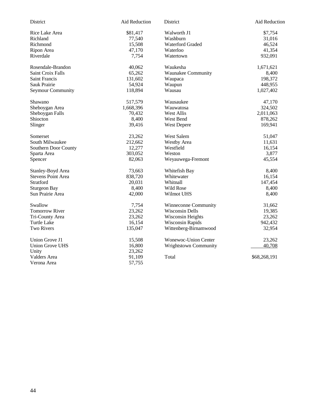| District                  | Aid Reduction | District                    | <b>Aid Reduction</b> |
|---------------------------|---------------|-----------------------------|----------------------|
| Rice Lake Area            | \$81,417      | Walworth J1                 | \$7,754              |
| Richland                  | 77,540        | Washburn                    | 31,016               |
| Richmond                  | 15,508        | <b>Waterford Graded</b>     | 46,524               |
| Ripon Area                | 47,170        | Waterloo                    | 41,354               |
| Riverdale                 | 7,754         | Watertown                   | 932,091              |
| Rosendale-Brandon         | 40,062        | Waukesha                    | 1,671,621            |
| Saint Croix Falls         | 65,262        | <b>Waunakee Community</b>   | 8,400                |
| <b>Saint Francis</b>      | 131,602       | Waupaca                     | 198,372              |
| Sauk Prairie              | 54,924        | Waupun                      | 448,955              |
| Seymour Community         | 118,894       | Wausau                      | 1,027,402            |
| Shawano                   | 517,579       | Wausaukee                   | 47,170               |
| Sheboygan Area            | 1,668,396     | Wauwatosa                   | 324,502              |
| Sheboygan Falls           | 70,432        | <b>West Allis</b>           | 2,011,063            |
| Shiocton                  | 8,400         | West Bend                   | 878,262              |
| Slinger                   | 39,416        | West Depere                 | 169,941              |
| Somerset                  | 23,262        | West Salem                  | 51,047               |
| South Milwaukee           | 212,662       | Westby Area                 | 11,631               |
| Southern Door County      | 12,277        | Westfield                   | 16,154               |
| Sparta Area               | 303,052       | Weston                      | 3,877                |
| Spencer                   | 82,063        | Weyauwega-Fremont           | 45,554               |
| Stanley-Boyd Area         | 73,663        | Whitefish Bay               | 8,400                |
| <b>Stevens Point Area</b> | 838,720       | Whitewater                  | 16,154               |
| Stratford                 | 20,031        | Whitnall                    | 147,454              |
| <b>Sturgeon Bay</b>       | 8,400         | <b>Wild Rose</b>            | 8,400                |
| Sun Prairie Area          | 42,000        | Wilmot UHS                  | 8,400                |
| Swallow                   | 7,754         | Winneconne Community        | 31,662               |
| <b>Tomorrow River</b>     | 23,262        | <b>Wisconsin Dells</b>      | 19,385               |
| Tri-County Area           | 23,262        | Wisconsin Heights           | 23,262               |
| <b>Turtle Lake</b>        | 16,154        | <b>Wisconsin Rapids</b>     | 942,432              |
| Two Rivers                | 135,047       | Wittenberg-Birnamwood       | 32,954               |
| Union Grove J1            | 15,508        | <b>Wonewoc-Union Center</b> | 23,262               |
| <b>Union Grove UHS</b>    | 16,800        | Wrightstown Community       | 40,708               |
| Unity                     | 23,262        |                             |                      |
| Valders Area              | 91,109        | Total                       | \$68,268,191         |
| Verona Area               | 57,755        |                             |                      |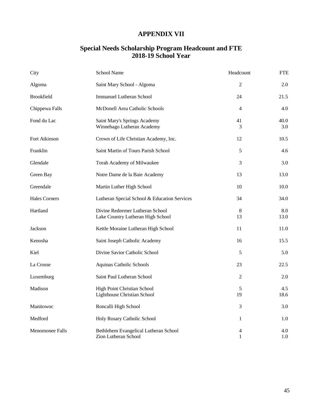# **APPENDIX VII**

### **Special Needs Scholarship Program Headcount and FTE 2018-19 School Year**

| City                 | <b>School Name</b>                                                   | Headcount         | <b>FTE</b>  |
|----------------------|----------------------------------------------------------------------|-------------------|-------------|
| Algoma               | Saint Mary School - Algoma                                           | $\overline{2}$    | 2.0         |
| <b>Brookfield</b>    | <b>Immanuel Lutheran School</b>                                      | 24                | 21.5        |
| Chippewa Falls       | McDonell Area Catholic Schools                                       | $\overline{4}$    | 4.0         |
| Fond du Lac          | Saint Mary's Springs Academy<br>Winnebago Lutheran Academy           | 41<br>3           | 40.0<br>3.0 |
| Fort Atkinson        | Crown of Life Christian Academy, Inc.                                | 12                | 10.5        |
| Franklin             | Saint Martin of Tours Parish School                                  | 5                 | 4.6         |
| Glendale             | Torah Academy of Milwaukee                                           | 3                 | 3.0         |
| Green Bay            | Notre Dame de la Baie Academy                                        | 13                | 13.0        |
| Greendale            | Martin Luther High School                                            | 10                | 10.0        |
| <b>Hales Corners</b> | Lutheran Special School & Education Services                         | 34                | 34.0        |
| Hartland             | Divine Redeemer Lutheran School<br>Lake Country Lutheran High School | 8<br>13           | 8.0<br>13.0 |
| Jackson              | Kettle Moraine Lutheran High School                                  | 11                | 11.0        |
| Kenosha              | Saint Joseph Catholic Academy                                        | 16                | 15.5        |
| Kiel                 | Divine Savior Catholic School                                        | 5                 | 5.0         |
| La Crosse            | Aquinas Catholic Schools                                             | 23                | 22.5        |
| Luxemburg            | Saint Paul Lutheran School                                           | 2                 | 2.0         |
| Madison              | High Point Christian School<br>Lighthouse Christian School           | 5<br>19           | 4.5<br>18.6 |
| Manitowoc            | Roncalli High School                                                 | 3                 | 3.0         |
| Medford              | Holy Rosary Catholic School                                          | 1                 | 1.0         |
| Menomonee Falls      | Bethlehem Evangelical Lutheran School<br>Zion Lutheran School        | 4<br>$\mathbf{1}$ | 4.0<br>1.0  |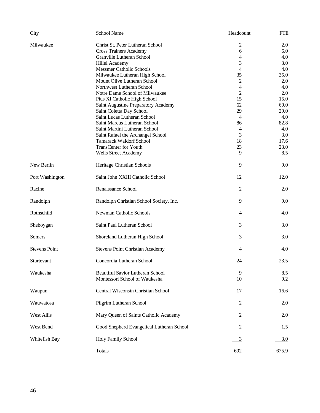| City                 | <b>School Name</b>                        | Headcount      | <b>FTE</b> |
|----------------------|-------------------------------------------|----------------|------------|
| Milwaukee            | Christ St. Peter Lutheran School          | 2              | 2.0        |
|                      | <b>Cross Trainers Academy</b>             | 6              | 6.0        |
|                      | Granville Lutheran School                 | 4              | 4.0        |
|                      | <b>Hillel Academy</b>                     | 3              | 3.0        |
|                      | <b>Messmer Catholic Schools</b>           | 4              | 4.0        |
|                      | Milwaukee Lutheran High School            | 35             | 35.0       |
|                      | Mount Olive Lutheran School               | 2              | 2.0        |
|                      | Northwest Lutheran School                 | 4              | 4.0        |
|                      | Notre Dame School of Milwaukee            | 2              | 2.0        |
|                      | Pius XI Catholic High School              | 15             | 15.0       |
|                      | Saint Augustine Preparatory Academy       | 62             | 60.0       |
|                      | Saint Coletta Day School                  | 29             | 29.0       |
|                      | Saint Lucas Lutheran School               | $\overline{4}$ | 4.0        |
|                      |                                           |                |            |
|                      | Saint Marcus Lutheran School              | 86             | 82.8       |
|                      | Saint Martini Lutheran School             | 4              | 4.0        |
|                      | Saint Rafael the Archangel School         | 3              | 3.0        |
|                      | <b>Tamarack Waldorf School</b>            | 18             | 17.6       |
|                      | <b>TransCenter for Youth</b>              | 23             | 23.0       |
|                      | <b>Wells Street Academy</b>               | 9              | 8.5        |
| New Berlin           | Heritage Christian Schools                | 9              | 9.0        |
| Port Washington      | Saint John XXIII Catholic School          | 12             | 12.0       |
| Racine               | Renaissance School                        | $\overline{2}$ | 2.0        |
| Randolph             | Randolph Christian School Society, Inc.   | 9              | 9.0        |
| Rothschild           | Newman Catholic Schools                   | 4              | 4.0        |
| Sheboygan            | Saint Paul Lutheran School                | 3              | 3.0        |
| Somers               | Shoreland Lutheran High School            | 3              | 3.0        |
| <b>Stevens Point</b> | <b>Stevens Point Christian Academy</b>    | 4              | 4.0        |
| Sturtevant           | Concordia Lutheran School                 | 24             | 23.5       |
| Waukesha             | <b>Beautiful Savior Lutheran School</b>   | 9              |            |
|                      | Montessori School of Waukesha             | 10             | 8.5<br>9.2 |
|                      |                                           |                |            |
| Waupun               | Central Wisconsin Christian School        | 17             | 16.6       |
| Wauwatosa            | Pilgrim Lutheran School                   | $\overline{2}$ | 2.0        |
| West Allis           | Mary Queen of Saints Catholic Academy     | 2              | 2.0        |
| West Bend            | Good Shepherd Evangelical Lutheran School | 2              | 1.5        |
| Whitefish Bay        | Holy Family School                        | <u>3</u>       | 3.0        |
|                      | Totals                                    | 692            | 675.9      |